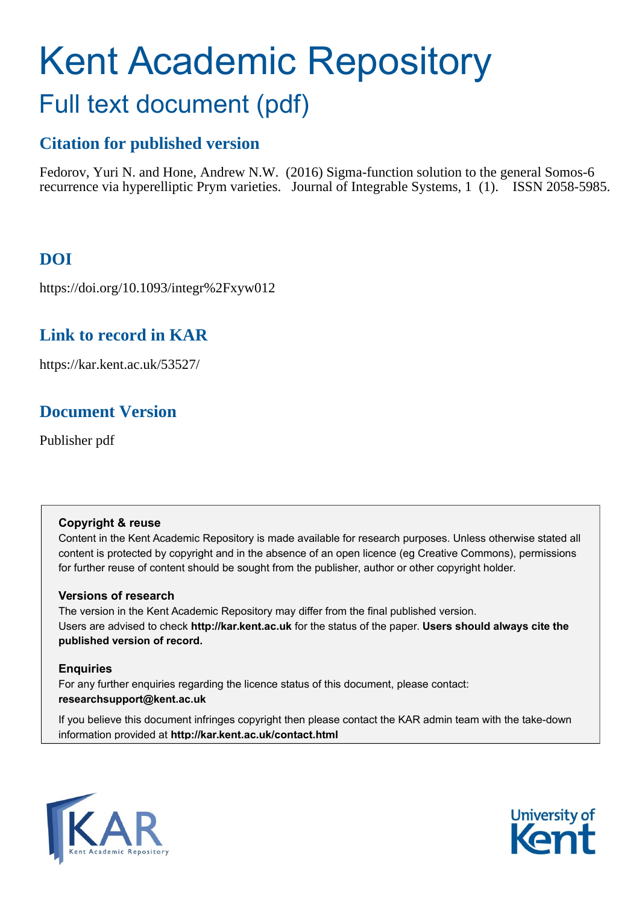# Kent Academic Repository Full text document (pdf)

# **Citation for published version**

Fedorov, Yuri N. and Hone, Andrew N.W. (2016) Sigma-function solution to the general Somos-6 recurrence via hyperelliptic Prym varieties. Journal of Integrable Systems, 1 (1). ISSN 2058-5985.

# **DOI**

https://doi.org/10.1093/integr%2Fxyw012

# **Link to record in KAR**

https://kar.kent.ac.uk/53527/

# **Document Version**

Publisher pdf

## **Copyright & reuse**

Content in the Kent Academic Repository is made available for research purposes. Unless otherwise stated all content is protected by copyright and in the absence of an open licence (eg Creative Commons), permissions for further reuse of content should be sought from the publisher, author or other copyright holder.

## **Versions of research**

The version in the Kent Academic Repository may differ from the final published version. Users are advised to check **http://kar.kent.ac.uk** for the status of the paper. **Users should always cite the published version of record.**

## **Enquiries**

For any further enquiries regarding the licence status of this document, please contact: **researchsupport@kent.ac.uk**

If you believe this document infringes copyright then please contact the KAR admin team with the take-down information provided at **http://kar.kent.ac.uk/contact.html**



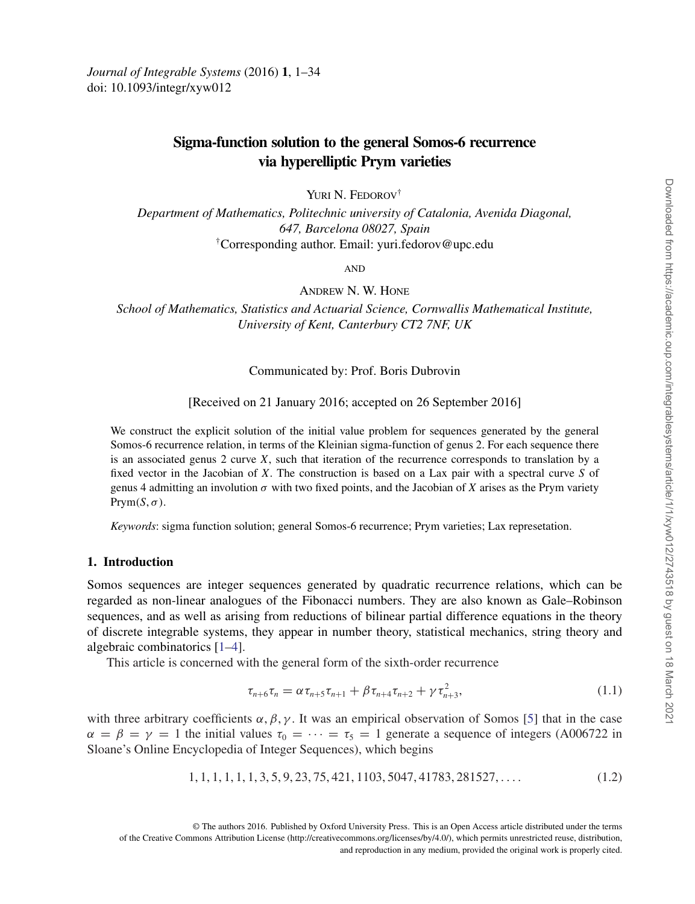### **Sigma-function solution to the general Somos-6 recurrence via hyperelliptic Prym varieties**

YURI N. FEDOROV<sup>†</sup>

*Department of Mathematics, Politechnic university of Catalonia, Avenida Diagonal, 647, Barcelona 08027, Spain* †Corresponding author. Email: yuri.fedorov@upc.edu

**AND** 

Andrew N. W. Hone

*School of Mathematics, Statistics and Actuarial Science, Cornwallis Mathematical Institute, University of Kent, Canterbury CT2 7NF, UK*

#### Communicated by: Prof. Boris Dubrovin

[Received on 21 January 2016; accepted on 26 September 2016]

We construct the explicit solution of the initial value problem for sequences generated by the general Somos-6 recurrence relation, in terms of the Kleinian sigma-function of genus 2. For each sequence there is an associated genus 2 curve *X*, such that iteration of the recurrence corresponds to translation by a fixed vector in the Jacobian of *X*. The construction is based on a Lax pair with a spectral curve *S* of genus 4 admitting an involution  $\sigma$  with two fixed points, and the Jacobian of X arises as the Prym variety  $Prym(S, \sigma)$ .

*Keywords*: sigma function solution; general Somos-6 recurrence; Prym varieties; Lax represetation.

#### **1. Introduction**

Somos sequences are integer sequences generated by quadratic recurrence relations, which can be regarded as non-linear analogues of the Fibonacci numbers. They are also known as Gale–Robinson sequences, and as well as arising from reductions of bilinear partial difference equations in the theory of discrete integrable systems, they appear in number theory, statistical mechanics, string theory and algebraic combinatorics [1–4].

This article is concerned with the general form of the sixth-order recurrence

$$
\tau_{n+6}\tau_n = \alpha \tau_{n+5}\tau_{n+1} + \beta \tau_{n+4}\tau_{n+2} + \gamma \tau_{n+3}^2, \tag{1.1}
$$

with three arbitrary coefficients  $\alpha$ ,  $\beta$ ,  $\gamma$ . It was an empirical observation of Somos [5] that in the case  $\alpha = \beta = \gamma = 1$  the initial values  $\tau_0 = \cdots = \tau_5 = 1$  generate a sequence of integers (A006722 in Sloane's Online Encyclopedia of Integer Sequences), which begins

$$
1, 1, 1, 1, 1, 1, 3, 5, 9, 23, 75, 421, 1103, 5047, 41783, 281527, \dots
$$
\n
$$
(1.2)
$$

© The authors 2016. Published by Oxford University Press. This is an Open Access article distributed under the terms of the Creative Commons Attribution License (http://creativecommons.org/licenses/by/4.0/), which permits unrestricted reuse, distribution, and reproduction in any medium, provided the original work is properly cited.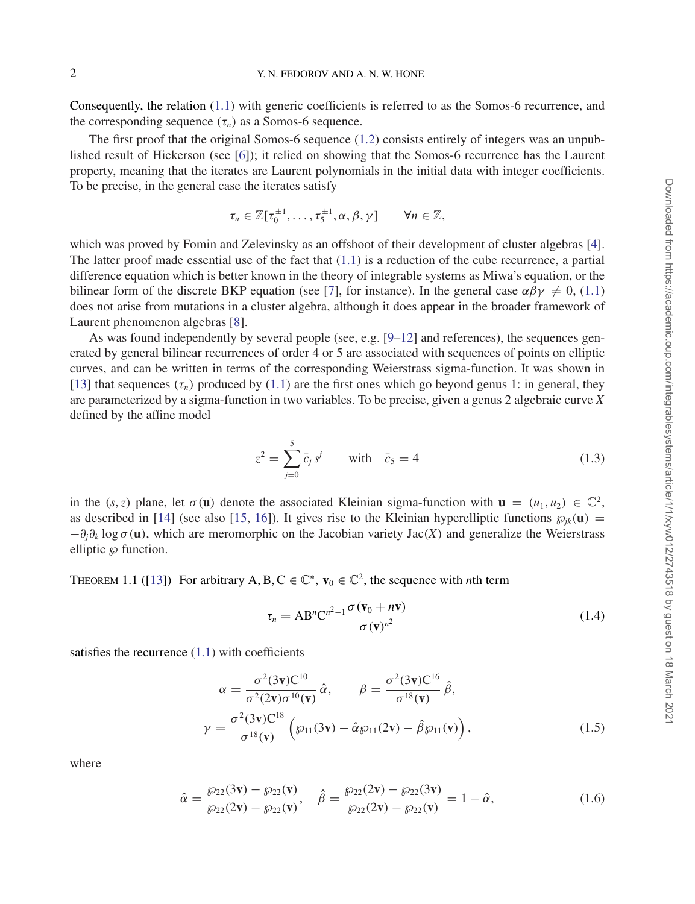Consequently, the relation (1.1) with generic coefficients is referred to as the Somos-6 recurrence, and the corresponding sequence  $(\tau_n)$  as a Somos-6 sequence.

The first proof that the original Somos-6 sequence  $(1.2)$  consists entirely of integers was an unpublished result of Hickerson (see [6]); it relied on showing that the Somos-6 recurrence has the Laurent property, meaning that the iterates are Laurent polynomials in the initial data with integer coefficients. To be precise, in the general case the iterates satisfy

$$
\tau_n \in \mathbb{Z}[\tau_0^{\pm 1}, \ldots, \tau_5^{\pm 1}, \alpha, \beta, \gamma] \qquad \forall n \in \mathbb{Z},
$$

which was proved by Fomin and Zelevinsky as an offshoot of their development of cluster algebras [4]. The latter proof made essential use of the fact that  $(1.1)$  is a reduction of the cube recurrence, a partial difference equation which is better known in the theory of integrable systems as Miwa's equation, or the bilinear form of the discrete BKP equation (see [7], for instance). In the general case  $\alpha\beta\gamma \neq 0$ , (1.1) does not arise from mutations in a cluster algebra, although it does appear in the broader framework of Laurent phenomenon algebras [8].

As was found independently by several people (see, e.g. [9–12] and references), the sequences generated by general bilinear recurrences of order 4 or 5 are associated with sequences of points on elliptic curves, and can be written in terms of the corresponding Weierstrass sigma-function. It was shown in [13] that sequences  $(\tau_n)$  produced by (1.1) are the first ones which go beyond genus 1: in general, they are parameterized by a sigma-function in two variables. To be precise, given a genus 2 algebraic curve *X* defined by the affine model

$$
z^{2} = \sum_{j=0}^{5} \bar{c}_{j} s^{j} \quad \text{with} \quad \bar{c}_{5} = 4 \quad (1.3)
$$

in the (*s*,*z*) plane, let  $\sigma(\mathbf{u})$  denote the associated Kleinian sigma-function with  $\mathbf{u} = (u_1, u_2) \in \mathbb{C}^2$ , as described in [14] (see also [15, 16]). It gives rise to the Kleinian hyperelliptic functions  $\wp_{ik}(\mathbf{u}) =$  $-\partial_i\partial_k \log \sigma(\mathbf{u})$ , which are meromorphic on the Jacobian variety Jac(*X*) and generalize the Weierstrass elliptic  $\wp$  function.

THEOREM 1.1 ([13]) For arbitrary A, B, C  $\in \mathbb{C}^*$ ,  $\mathbf{v}_0 \in \mathbb{C}^2$ , the sequence with *n*th term

$$
\tau_n = AB^n C^{n^2 - 1} \frac{\sigma(\mathbf{v}_0 + n\mathbf{v})}{\sigma(\mathbf{v})^{n^2}}
$$
\n(1.4)

satisfies the recurrence  $(1.1)$  with coefficients

$$
\alpha = \frac{\sigma^2(3\mathbf{v})\mathbf{C}^{10}}{\sigma^2(2\mathbf{v})\sigma^{10}(\mathbf{v})}\hat{\alpha}, \qquad \beta = \frac{\sigma^2(3\mathbf{v})\mathbf{C}^{16}}{\sigma^{18}(\mathbf{v})}\hat{\beta},
$$

$$
\gamma = \frac{\sigma^2(3\mathbf{v})\mathbf{C}^{18}}{\sigma^{18}(\mathbf{v})}\left(\wp_{11}(3\mathbf{v}) - \hat{\alpha}\wp_{11}(2\mathbf{v}) - \hat{\beta}\wp_{11}(\mathbf{v})\right), \tag{1.5}
$$

where

$$
\hat{\alpha} = \frac{\wp_{22}(3\mathbf{v}) - \wp_{22}(\mathbf{v})}{\wp_{22}(2\mathbf{v}) - \wp_{22}(\mathbf{v})}, \quad \hat{\beta} = \frac{\wp_{22}(2\mathbf{v}) - \wp_{22}(3\mathbf{v})}{\wp_{22}(2\mathbf{v}) - \wp_{22}(\mathbf{v})} = 1 - \hat{\alpha},\tag{1.6}
$$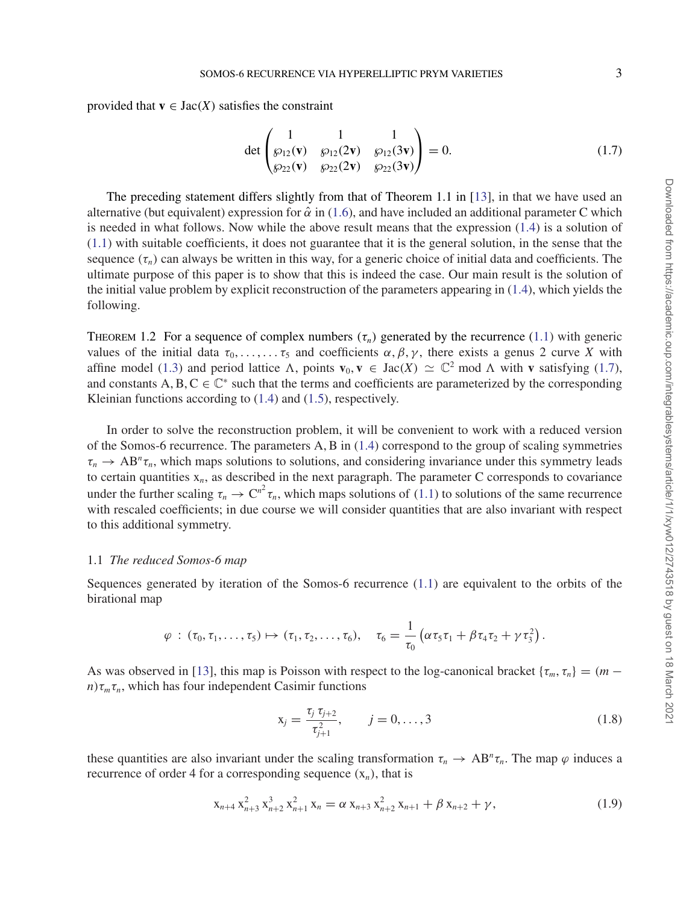provided that  $\mathbf{v} \in \text{Jac}(X)$  satisfies the constraint

$$
\det \begin{pmatrix} 1 & 1 & 1 \\ \wp_{12}(\mathbf{v}) & \wp_{12}(2\mathbf{v}) & \wp_{12}(3\mathbf{v}) \\ \wp_{22}(\mathbf{v}) & \wp_{22}(2\mathbf{v}) & \wp_{22}(3\mathbf{v}) \end{pmatrix} = 0.
$$
 (1.7)

The preceding statement differs slightly from that of Theorem 1.1 in [13], in that we have used an alternative (but equivalent) expression for  $\hat{\alpha}$  in (1.6), and have included an additional parameter C which is needed in what follows. Now while the above result means that the expression (1.4) is a solution of (1.1) with suitable coefficients, it does not guarantee that it is the general solution, in the sense that the sequence  $(\tau_n)$  can always be written in this way, for a generic choice of initial data and coefficients. The ultimate purpose of this paper is to show that this is indeed the case. Our main result is the solution of the initial value problem by explicit reconstruction of the parameters appearing in (1.4), which yields the following.

THEOREM 1.2 For a sequence of complex numbers  $(\tau_n)$  generated by the recurrence (1.1) with generic values of the initial data  $\tau_0, \ldots, \ldots, \tau_5$  and coefficients  $\alpha, \beta, \gamma$ , there exists a genus 2 curve *X* with affine model (1.3) and period lattice  $\Lambda$ , points  $\mathbf{v}_0, \mathbf{v} \in \text{Jac}(X) \simeq \mathbb{C}^2$  mod  $\Lambda$  with **v** satisfying (1.7), and constants  $A, B, C \in \mathbb{C}^*$  such that the terms and coefficients are parameterized by the corresponding Kleinian functions according to (1.4) and (1.5), respectively.

In order to solve the reconstruction problem, it will be convenient to work with a reduced version of the Somos-6 recurrence. The parameters A, B in (1.4) correspond to the group of scaling symmetries  $\tau_n \to AB^n \tau_n$ , which maps solutions to solutions, and considering invariance under this symmetry leads to certain quantities  $x_n$ , as described in the next paragraph. The parameter C corresponds to covariance under the further scaling  $\tau_n \to C^{n^2} \tau_n$ , which maps solutions of (1.1) to solutions of the same recurrence with rescaled coefficients; in due course we will consider quantities that are also invariant with respect to this additional symmetry.

#### 1.1 *The reduced Somos-6 map*

Sequences generated by iteration of the Somos-6 recurrence (1.1) are equivalent to the orbits of the birational map

$$
\varphi: (\tau_0,\tau_1,\ldots,\tau_5)\mapsto (\tau_1,\tau_2,\ldots,\tau_6), \quad \tau_6=\frac{1}{\tau_0}\left(\alpha\tau_5\tau_1+\beta\tau_4\tau_2+\gamma\tau_3^2\right).
$$

As was observed in [13], this map is Poisson with respect to the log-canonical bracket { $\tau_m$ ,  $\tau_n$ } = (*m* −  $n\tau_m\tau_n$ , which has four independent Casimir functions

$$
x_j = \frac{\tau_j \tau_{j+2}}{\tau_{j+1}^2}, \qquad j = 0, \dots, 3
$$
\n(1.8)

these quantities are also invariant under the scaling transformation  $\tau_n \to AB^n \tau_n$ . The map  $\varphi$  induces a recurrence of order 4 for a corresponding sequence  $(x_n)$ , that is

$$
x_{n+4} x_{n+3}^2 x_{n+2}^3 x_{n+1}^2 x_n = \alpha x_{n+3} x_{n+2}^2 x_{n+1} + \beta x_{n+2} + \gamma,
$$
\n(1.9)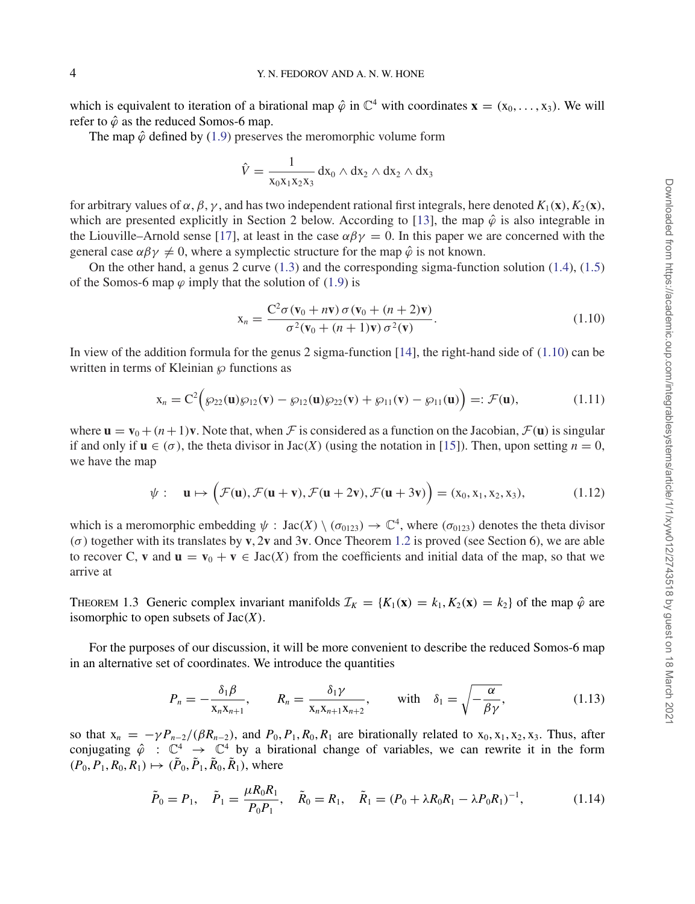which is equivalent to iteration of a birational map  $\hat{\varphi}$  in  $\mathbb{C}^4$  with coordinates  $\mathbf{x} = (x_0, \dots, x_3)$ . We will refer to  $\hat{\varphi}$  as the reduced Somos-6 map.

The map  $\hat{\varphi}$  defined by (1.9) preserves the meromorphic volume form

$$
\hat{V} = \frac{1}{x_0x_1x_2x_3} dx_0 \wedge dx_2 \wedge dx_2 \wedge dx_3
$$

for arbitrary values of α, β, γ , and has two independent rational first integrals, here denoted *K*1(**x**),*K*2(**x**), which are presented explicitly in Section 2 below. According to [13], the map  $\hat{\varphi}$  is also integrable in the Liouville–Arnold sense [17], at least in the case  $\alpha \beta \gamma = 0$ . In this paper we are concerned with the general case  $\alpha\beta\gamma \neq 0$ , where a symplectic structure for the map  $\hat{\varphi}$  is not known.

On the other hand, a genus 2 curve  $(1.3)$  and the corresponding sigma-function solution  $(1.4)$ ,  $(1.5)$ of the Somos-6 map  $\varphi$  imply that the solution of (1.9) is

$$
\mathbf{x}_n = \frac{\mathbf{C}^2 \sigma (\mathbf{v}_0 + n\mathbf{v}) \sigma (\mathbf{v}_0 + (n+2)\mathbf{v})}{\sigma^2 (\mathbf{v}_0 + (n+1)\mathbf{v}) \sigma^2 (\mathbf{v})}.
$$
\n(1.10)

In view of the addition formula for the genus 2 sigma-function [14], the right-hand side of (1.10) can be written in terms of Kleinian  $\wp$  functions as

$$
\mathbf{x}_n = \mathbf{C}^2 \Big( \wp_{22}(\mathbf{u}) \wp_{12}(\mathbf{v}) - \wp_{12}(\mathbf{u}) \wp_{22}(\mathbf{v}) + \wp_{11}(\mathbf{v}) - \wp_{11}(\mathbf{u}) \Big) =: \mathcal{F}(\mathbf{u}), \tag{1.11}
$$

where  $\mathbf{u} = \mathbf{v}_0 + (n+1)\mathbf{v}$ . Note that, when F is considered as a function on the Jacobian,  $\mathcal{F}(\mathbf{u})$  is singular if and only if  $\mathbf{u} \in (\sigma)$ , the theta divisor in Jac(*X*) (using the notation in [15]). Then, upon setting  $n = 0$ , we have the map

$$
\psi: \quad \mathbf{u} \mapsto \Big( \mathcal{F}(\mathbf{u}), \mathcal{F}(\mathbf{u}+\mathbf{v}), \mathcal{F}(\mathbf{u}+2\mathbf{v}), \mathcal{F}(\mathbf{u}+3\mathbf{v}) \Big) = (x_0, x_1, x_2, x_3), \tag{1.12}
$$

which is a meromorphic embedding  $\psi$  :  $Jac(X) \setminus (\sigma_{0123}) \to \mathbb{C}^4$ , where  $(\sigma_{0123})$  denotes the theta divisor (σ ) together with its translates by **v**, 2**v** and 3**v**. Once Theorem 1.2 is proved (see Section 6), we are able to recover C, **v** and  $\mathbf{u} = \mathbf{v}_0 + \mathbf{v} \in \text{Jac}(X)$  from the coefficients and initial data of the map, so that we arrive at

THEOREM 1.3 Generic complex invariant manifolds  $\mathcal{I}_K = \{K_1(\mathbf{x}) = k_1, K_2(\mathbf{x}) = k_2\}$  of the map  $\hat{\varphi}$  are isomorphic to open subsets of Jac(*X*).

For the purposes of our discussion, it will be more convenient to describe the reduced Somos-6 map in an alternative set of coordinates. We introduce the quantities

$$
P_n = -\frac{\delta_1 \beta}{x_n x_{n+1}}, \qquad R_n = \frac{\delta_1 \gamma}{x_n x_{n+1} x_{n+2}}, \qquad \text{with} \quad \delta_1 = \sqrt{-\frac{\alpha}{\beta \gamma}}, \tag{1.13}
$$

so that  $x_n = -\gamma P_{n-2}/(\beta R_{n-2})$ , and  $P_0, P_1, R_0, R_1$  are birationally related to  $x_0, x_1, x_2, x_3$ . Thus, after conjugating  $\hat{\varphi}$  :  $\mathbb{C}^4 \to \mathbb{C}^4$  by a birational change of variables, we can rewrite it in the form  $(P_0, P_1, R_0, R_1) \mapsto (\tilde{P}_0, \tilde{P}_1, \tilde{R}_0, \tilde{R}_1)$ , where

$$
\tilde{P}_0 = P_1, \quad \tilde{P}_1 = \frac{\mu R_0 R_1}{P_0 P_1}, \quad \tilde{R}_0 = R_1, \quad \tilde{R}_1 = (P_0 + \lambda R_0 R_1 - \lambda P_0 R_1)^{-1}, \tag{1.14}
$$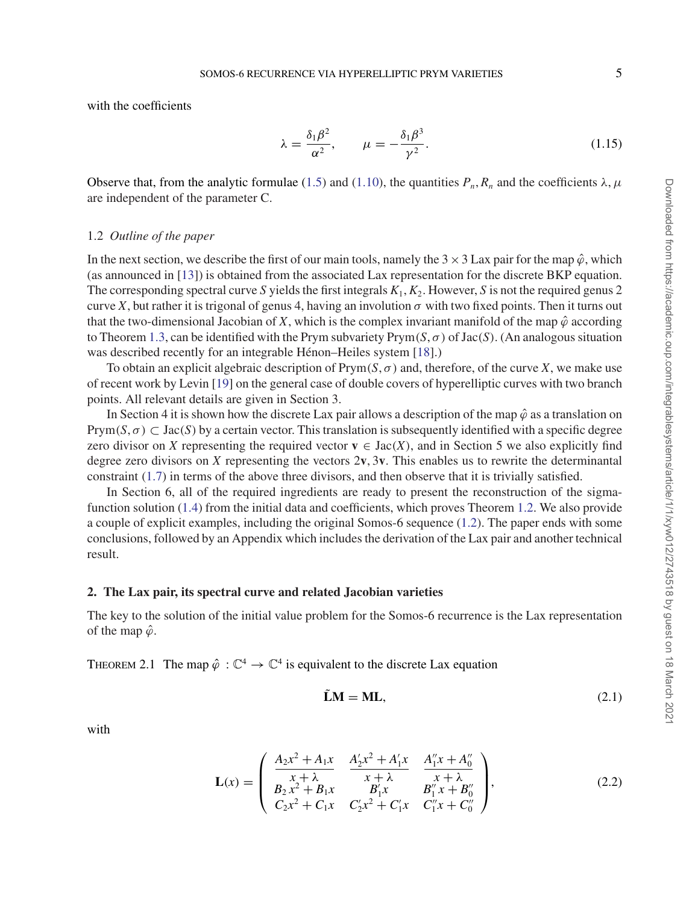with the coefficients

$$
\lambda = \frac{\delta_1 \beta^2}{\alpha^2}, \qquad \mu = -\frac{\delta_1 \beta^3}{\gamma^2}.
$$
\n(1.15)

Observe that, from the analytic formulae (1.5) and (1.10), the quantities  $P_n$ ,  $R_n$  and the coefficients  $\lambda, \mu$ are independent of the parameter C.

#### 1.2 *Outline of the paper*

In the next section, we describe the first of our main tools, namely the  $3 \times 3$  Lax pair for the map  $\hat{\varphi}$ , which (as announced in [13]) is obtained from the associated Lax representation for the discrete BKP equation. The corresponding spectral curve *S* yields the first integrals *K*1,*K*2. However, *S* is not the required genus 2 curve X, but rather it is trigonal of genus 4, having an involution  $\sigma$  with two fixed points. Then it turns out that the two-dimensional Jacobian of *X*, which is the complex invariant manifold of the map  $\hat{\varphi}$  according to Theorem 1.3, can be identified with the Prym subvariety  $Prym(S, \sigma)$  of  $Jac(S)$ . (An analogous situation was described recently for an integrable Hénon–Heiles system [18].)

To obtain an explicit algebraic description of  $Prym(S, \sigma)$  and, therefore, of the curve *X*, we make use of recent work by Levin [19] on the general case of double covers of hyperelliptic curves with two branch points. All relevant details are given in Section 3.

In Section 4 it is shown how the discrete Lax pair allows a description of the map  $\hat{\varphi}$  as a translation on Prym( $S, \sigma$ )  $\subset$  Jac( $S$ ) by a certain vector. This translation is subsequently identified with a specific degree zero divisor on *X* representing the required vector  $\mathbf{v} \in \text{Jac}(X)$ , and in Section 5 we also explicitly find degree zero divisors on *X* representing the vectors  $2v$ ,  $3v$ . This enables us to rewrite the determinantal constraint (1.7) in terms of the above three divisors, and then observe that it is trivially satisfied.

In Section 6, all of the required ingredients are ready to present the reconstruction of the sigmafunction solution (1.4) from the initial data and coefficients, which proves Theorem 1.2. We also provide a couple of explicit examples, including the original Somos-6 sequence (1.2). The paper ends with some conclusions, followed by an Appendix which includes the derivation of the Lax pair and another technical result.

#### **2. The Lax pair, its spectral curve and related Jacobian varieties**

The key to the solution of the initial value problem for the Somos-6 recurrence is the Lax representation of the map  $\hat{\varphi}$ .

THEOREM 2.1 The map  $\hat{\varphi}: \mathbb{C}^4 \to \mathbb{C}^4$  is equivalent to the discrete Lax equation

$$
\tilde{\mathbf{L}}\mathbf{M} = \mathbf{M}\mathbf{L},\tag{2.1}
$$

with

$$
\mathbf{L}(x) = \begin{pmatrix} \frac{A_2 x^2 + A_1 x}{x + \lambda} & \frac{A_2' x^2 + A_1' x}{x + \lambda} & \frac{A_1'' x + A_0''}{x + \lambda} \\ B_2 x^2 + B_1 x & B_1' x & B_1'' x + B_0'' \\ C_2 x^2 + C_1 x & C_2' x^2 + C_1' x & C_1'' x + C_0'' \end{pmatrix},
$$
(2.2)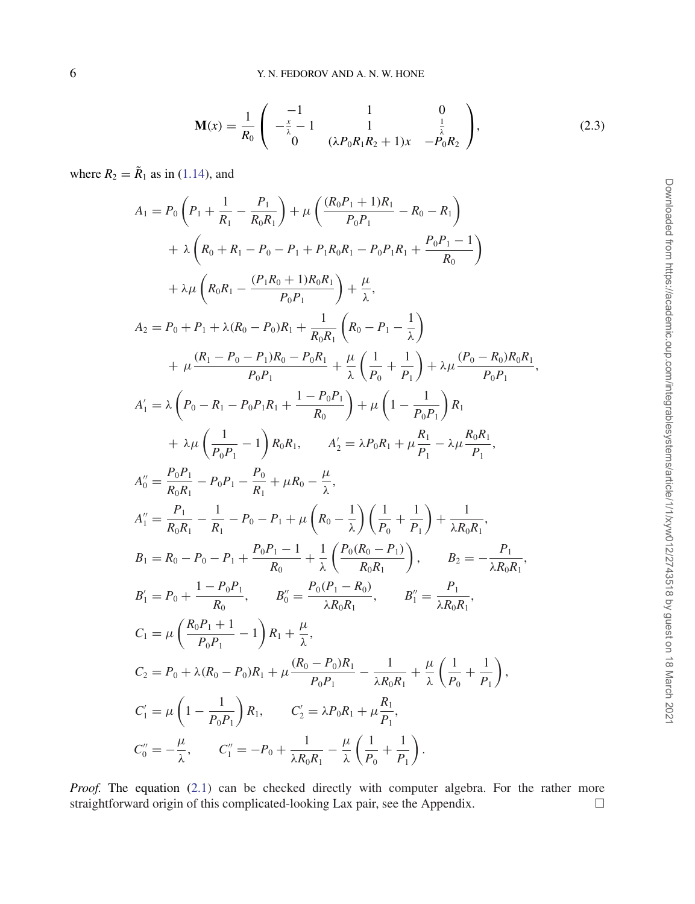$$
\mathbf{M}(x) = \frac{1}{R_0} \begin{pmatrix} -1 & 1 & 0 \\ -\frac{x}{\lambda} - 1 & 1 & \frac{1}{\lambda} \\ 0 & (\lambda P_0 R_1 R_2 + 1)x & -P_0 R_2 \end{pmatrix},
$$
(2.3)

where  $R_2 = \tilde{R}_1$  as in (1.14), and

$$
A_{1} = P_{0} \left( P_{1} + \frac{1}{R_{1}} - \frac{P_{1}}{R_{0}R_{1}} \right) + \mu \left( \frac{(R_{0}P_{1} + 1)R_{1}}{P_{0}P_{1}} - R_{0} - R_{1} \right) + \lambda \left( R_{0} + R_{1} - P_{0} - P_{1} + P_{1}R_{0}R_{1} - P_{0}P_{1}R_{1} + \frac{P_{0}P_{1} - 1}{R_{0}} \right) + \lambda \mu \left( R_{0}R_{1} - \frac{(P_{1}R_{0} + 1)R_{0}R_{1}}{P_{0}P_{1}} \right) + \frac{\mu}{\lambda},
$$
  
\n
$$
A_{2} = P_{0} + P_{1} + \lambda (R_{0} - P_{0})R_{1} + \frac{1}{R_{0}R_{1}} \left( R_{0} - P_{1} - \frac{1}{\lambda} \right) + \mu \frac{(R_{1} - P_{0} - P_{1})R_{0} - P_{0}R_{1}}{P_{0}P_{1}} + \frac{\mu}{\lambda} \left( \frac{1}{P_{0}} + \frac{1}{P_{1}} \right) + \lambda \mu \frac{(P_{0} - R_{0})R_{0}R_{1}}{P_{0}P_{1}},
$$
  
\n
$$
A'_{1} = \lambda \left( P_{0} - R_{1} - P_{0}P_{1}R_{1} + \frac{1 - P_{0}P_{1}}{R_{0}} \right) + \mu \left( 1 - \frac{1}{P_{0}P_{1}} \right) R_{1}
$$
  
\n
$$
+ \lambda \mu \left( \frac{1}{P_{0}P_{1}} - 1 \right) R_{0}R_{1}, \qquad A'_{2} = \lambda P_{0}R_{1} + \mu \frac{R_{1}}{P_{1}} - \lambda \mu \frac{R_{0}R_{1}}{P_{1}},
$$
  
\n
$$
A''_{0} = \frac{P_{0}P_{1}}{R_{0}R_{1}} - P_{0}P_{1} - \frac{P_{0}}{R_{1}} + \mu R_{0} - \frac{\mu}{\lambda},
$$
  
\n
$$
A''_{1} = \frac{P_{1}}{R_{0}R_{1}} - \frac{1}{R_{1}} - P_{0} - P_{1} + \mu \left( R
$$

*Proof.* The equation (2.1) can be checked directly with computer algebra. For the rather more straightforward origin of this complicated-looking Lax pair, see the Appendix. - $\Box$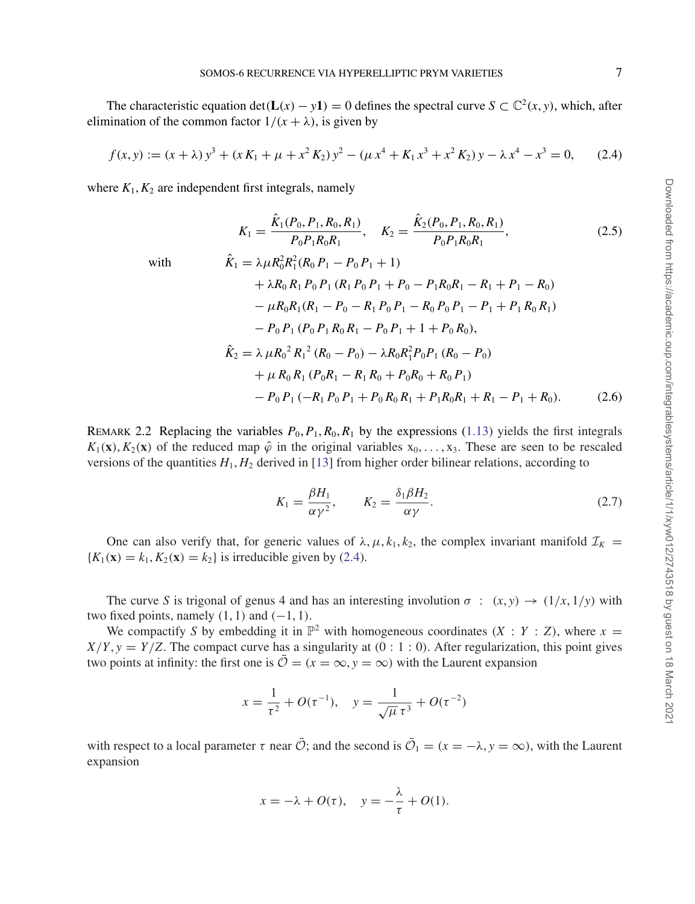The characteristic equation det( $L(x) - y$ **1**) = 0 defines the spectral curve  $S \subset \mathbb{C}^2(x, y)$ , which, after elimination of the common factor  $1/(x + \lambda)$ , is given by

$$
f(x, y) := (x + \lambda) y^3 + (x K_1 + \mu + x^2 K_2) y^2 - (\mu x^4 + K_1 x^3 + x^2 K_2) y - \lambda x^4 - x^3 = 0,
$$
 (2.4)

where  $K_1, K_2$  are independent first integrals, namely

$$
K_1 = \frac{\hat{K}_1(P_0, P_1, R_0, R_1)}{P_0 P_1 R_0 R_1}, \quad K_2 = \frac{\hat{K}_2(P_0, P_1, R_0, R_1)}{P_0 P_1 R_0 R_1},
$$
\n(2.5)

with  
\n
$$
\hat{K}_1 = \lambda \mu R_0^2 R_1^2 (R_0 P_1 - P_0 P_1 + 1)
$$
\n
$$
+ \lambda R_0 R_1 P_0 P_1 (R_1 P_0 P_1 + P_0 - P_1 R_0 R_1 - R_1 + P_1 - R_0)
$$
\n
$$
- \mu R_0 R_1 (R_1 - P_0 - R_1 P_0 P_1 - R_0 P_0 P_1 - P_1 + P_1 R_0 R_1)
$$
\n
$$
- P_0 P_1 (P_0 P_1 R_0 R_1 - P_0 P_1 + 1 + P_0 R_0),
$$
\n
$$
\hat{K}_2 = \lambda \mu R_0^2 R_1^2 (R_0 - P_0) - \lambda R_0 R_1^2 P_0 P_1 (R_0 - P_0)
$$
\n
$$
+ \mu R_0 R_1 (P_0 R_1 - R_1 R_0 + P_0 R_0 + R_0 P_1)
$$
\n
$$
- P_0 P_1 (-R_1 P_0 P_1 + P_0 R_0 R_1 + P_1 R_0 R_1 + R_1 - P_1 + R_0).
$$
\n(2.6)

REMARK 2.2 Replacing the variables  $P_0$ ,  $P_1$ ,  $R_0$ ,  $R_1$  by the expressions (1.13) yields the first integrals  $K_1(\mathbf{x})$ ,  $K_2(\mathbf{x})$  of the reduced map  $\hat{\varphi}$  in the original variables  $x_0, \ldots, x_3$ . These are seen to be rescaled versions of the quantities  $H_1, H_2$  derived in [13] from higher order bilinear relations, according to

$$
K_1 = \frac{\beta H_1}{\alpha \gamma^2}, \qquad K_2 = \frac{\delta_1 \beta H_2}{\alpha \gamma}.
$$
 (2.7)

One can also verify that, for generic values of  $\lambda, \mu, k_1, k_2$ , the complex invariant manifold  $\mathcal{I}_K$  =  ${K_1(\mathbf{x}) = k_1, K_2(\mathbf{x}) = k_2}$  is irreducible given by (2.4).

The curve *S* is trigonal of genus 4 and has an interesting involution  $\sigma$  :  $(x, y) \rightarrow (1/x, 1/y)$  with two fixed points, namely  $(1, 1)$  and  $(-1, 1)$ .

We compactify *S* by embedding it in  $\mathbb{P}^2$  with homogeneous coordinates  $(X : Y : Z)$ , where  $x =$  $X/Y$ ,  $y = Y/Z$ . The compact curve has a singularity at  $(0:1:0)$ . After regularization, this point gives two points at infinity: the first one is  $\overline{O} = (x = \infty, y = \infty)$  with the Laurent expansion

$$
x = \frac{1}{\tau^2} + O(\tau^{-1}), \quad y = \frac{1}{\sqrt{\mu} \tau^3} + O(\tau^{-2})
$$

with respect to a local parameter  $\tau$  near  $\overline{O}$ ; and the second is  $\overline{O}_1 = (x = -\lambda, y = \infty)$ , with the Laurent expansion

$$
x = -\lambda + O(\tau), \quad y = -\frac{\lambda}{\tau} + O(1).
$$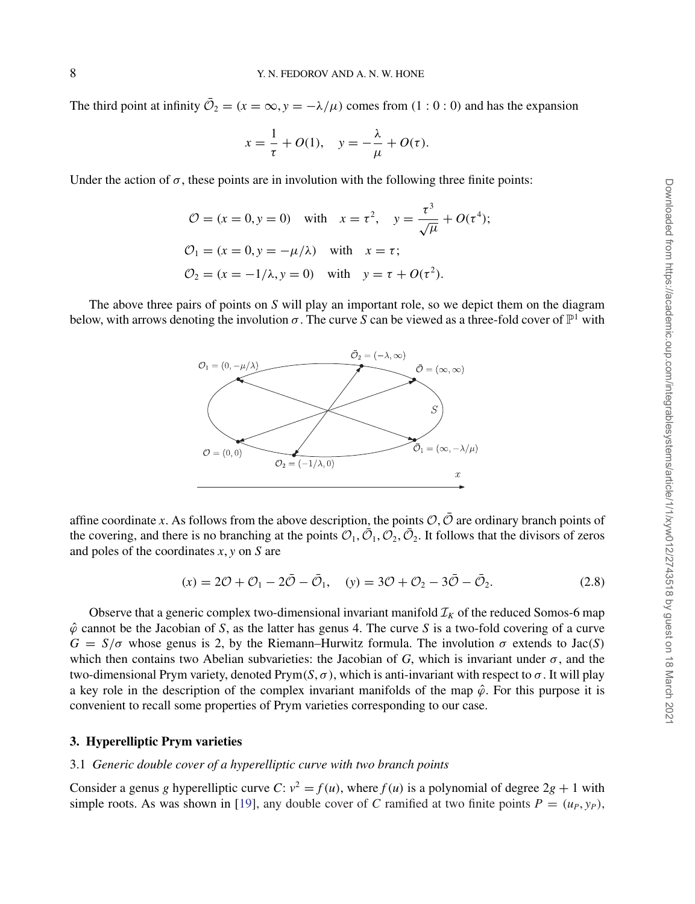The third point at infinity  $\overline{O}_2 = (x = \infty, y = -\lambda/\mu)$  comes from (1:0:0) and has the expansion

$$
x = \frac{1}{\tau} + O(1), \quad y = -\frac{\lambda}{\mu} + O(\tau).
$$

Under the action of  $\sigma$ , these points are in involution with the following three finite points:

$$
\mathcal{O} = (x = 0, y = 0) \quad \text{with} \quad x = \tau^2, \quad y = \frac{\tau^3}{\sqrt{\mu}} + O(\tau^4);
$$
  

$$
\mathcal{O}_1 = (x = 0, y = -\mu/\lambda) \quad \text{with} \quad x = \tau;
$$
  

$$
\mathcal{O}_2 = (x = -1/\lambda, y = 0) \quad \text{with} \quad y = \tau + O(\tau^2).
$$

The above three pairs of points on *S* will play an important role, so we depict them on the diagram below, with arrows denoting the involution  $\sigma$ . The curve *S* can be viewed as a three-fold cover of  $\mathbb{P}^1$  with



affine coordinate x. As follows from the above description, the points  $\mathcal{O}, \bar{\mathcal{O}}$  are ordinary branch points of the covering, and there is no branching at the points  $\mathcal{O}_1, \mathcal{O}_2, \mathcal{O}_2$ . It follows that the divisors of zeros and poles of the coordinates *x*, *y* on *S* are

$$
(x) = 2\mathcal{O} + \mathcal{O}_1 - 2\bar{\mathcal{O}} - \bar{\mathcal{O}}_1, \quad (y) = 3\mathcal{O} + \mathcal{O}_2 - 3\bar{\mathcal{O}} - \bar{\mathcal{O}}_2.
$$
 (2.8)

Observe that a generic complex two-dimensional invariant manifold  $\mathcal{I}_k$  of the reduced Somos-6 map  $\hat{\varphi}$  cannot be the Jacobian of *S*, as the latter has genus 4. The curve *S* is a two-fold covering of a curve  $G = S/\sigma$  whose genus is 2, by the Riemann–Hurwitz formula. The involution  $\sigma$  extends to Jac(*S*) which then contains two Abelian subvarieties: the Jacobian of  $G$ , which is invariant under  $\sigma$ , and the two-dimensional Prym variety, denoted Prym(*S*, σ ), which is anti-invariant with respect to σ. It will play a key role in the description of the complex invariant manifolds of the map  $\hat{\varphi}$ . For this purpose it is convenient to recall some properties of Prym varieties corresponding to our case.

#### **3. Hyperelliptic Prym varieties**

#### 3.1 *Generic double cover of a hyperelliptic curve with two branch points*

Consider a genus *g* hyperelliptic curve *C*:  $v^2 = f(u)$ , where  $f(u)$  is a polynomial of degree  $2g + 1$  with simple roots. As was shown in [19], any double cover of *C* ramified at two finite points  $P = (u_P, y_P)$ ,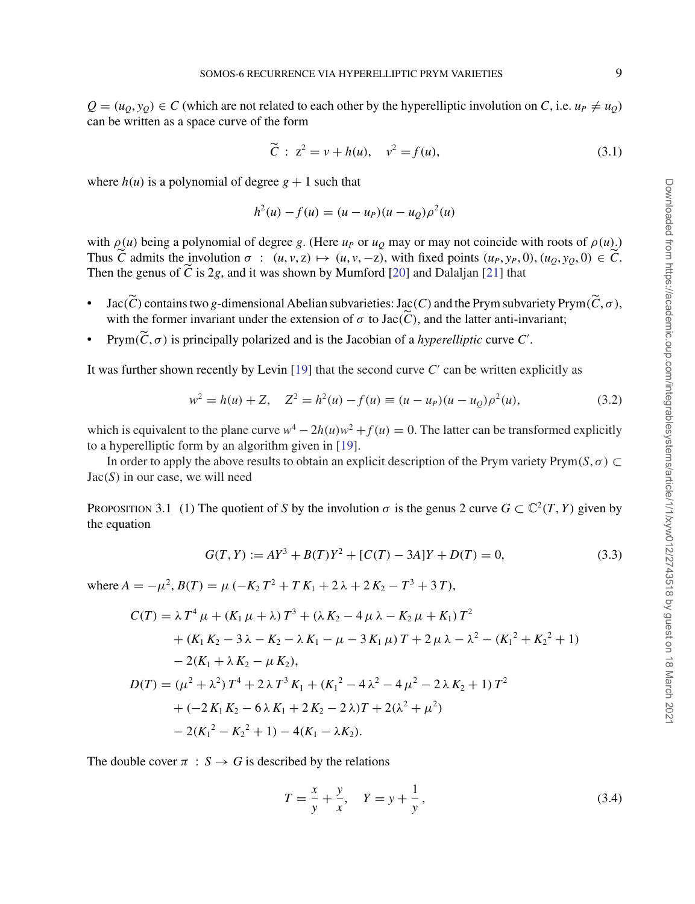$Q = (u_0, y_0) \in C$  (which are not related to each other by the hyperelliptic involution on *C*, i.e.  $u_p \neq u_0$ ) can be written as a space curve of the form

$$
\tilde{C}: z^2 = v + h(u), v^2 = f(u),
$$
\n(3.1)

where  $h(u)$  is a polynomial of degree  $g + 1$  such that

$$
h^{2}(u) - f(u) = (u - u_{P})(u - u_{Q})\rho^{2}(u)
$$

with  $\rho(u)$  being a polynomial of degree g. (Here  $u_p$  or  $u_q$  may or may not coincide with roots of  $\rho(u)$ .) Thus  $\tilde{C}$  admits the involution  $\sigma : (u, v, z) \mapsto (u, v, -z)$ , with fixed points  $(u_P, y_P, 0), (u_Q, y_Q, 0) \in \tilde{C}$ . Then the genus of  $\tilde{C}$  is 2*g*, and it was shown by Mumford [20] and Dalaljan [21] that

- $Jac(\tilde{C})$  contains two g-dimensional Abelian subvarieties: Jac(*C*) and the Prym subvariety Prym $(\tilde{C}, \sigma)$ , with the former invariant under the extension of  $\sigma$  to Jac( $\widetilde{C}$ ), and the latter anti-invariant;
- Prym $(\widetilde{C}, \sigma)$  is principally polarized and is the Jacobian of a *hyperelliptic* curve  $C'$ .

It was further shown recently by Levin [19] that the second curve *C'* can be written explicitly as

$$
w^{2} = h(u) + Z, \quad Z^{2} = h^{2}(u) - f(u) \equiv (u - u_{P})(u - u_{Q})\rho^{2}(u), \tag{3.2}
$$

which is equivalent to the plane curve  $w^4 - 2h(u)w^2 + f(u) = 0$ . The latter can be transformed explicitly to a hyperelliptic form by an algorithm given in [19].

In order to apply the above results to obtain an explicit description of the Prym variety Prym $(S, \sigma) \subset$ Jac(*S*) in our case, we will need

PROPOSITION 3.1 (1) The quotient of *S* by the involution  $\sigma$  is the genus 2 curve  $G \subset \mathbb{C}^2(T, Y)$  given by the equation

$$
G(T, Y) := AY^3 + B(T)Y^2 + [C(T) - 3A]Y + D(T) = 0,
$$
\n(3.3)

where  $A = -\mu^2$ ,  $B(T) = \mu \left(-K_2 T^2 + T K_1 + 2\lambda + 2K_2 - T^3 + 3T\right)$ ,

$$
C(T) = \lambda T^4 \mu + (K_1 \mu + \lambda) T^3 + (\lambda K_2 - 4 \mu \lambda - K_2 \mu + K_1) T^2
$$
  
+  $(K_1 K_2 - 3 \lambda - K_2 - \lambda K_1 - \mu - 3 K_1 \mu) T + 2 \mu \lambda - \lambda^2 - (K_1^2 + K_2^2 + 1)$   
-  $2(K_1 + \lambda K_2 - \mu K_2),$   

$$
D(T) = (\mu^2 + \lambda^2) T^4 + 2 \lambda T^3 K_1 + (K_1^2 - 4 \lambda^2 - 4 \mu^2 - 2 \lambda K_2 + 1) T^2
$$
  
+  $(-2K_1 K_2 - 6 \lambda K_1 + 2K_2 - 2 \lambda) T + 2(\lambda^2 + \mu^2)$   
-  $2(K_1^2 - K_2^2 + 1) - 4(K_1 - \lambda K_2).$ 

The double cover  $\pi : S \to G$  is described by the relations

$$
T = \frac{x}{y} + \frac{y}{x}, \quad Y = y + \frac{1}{y}, \tag{3.4}
$$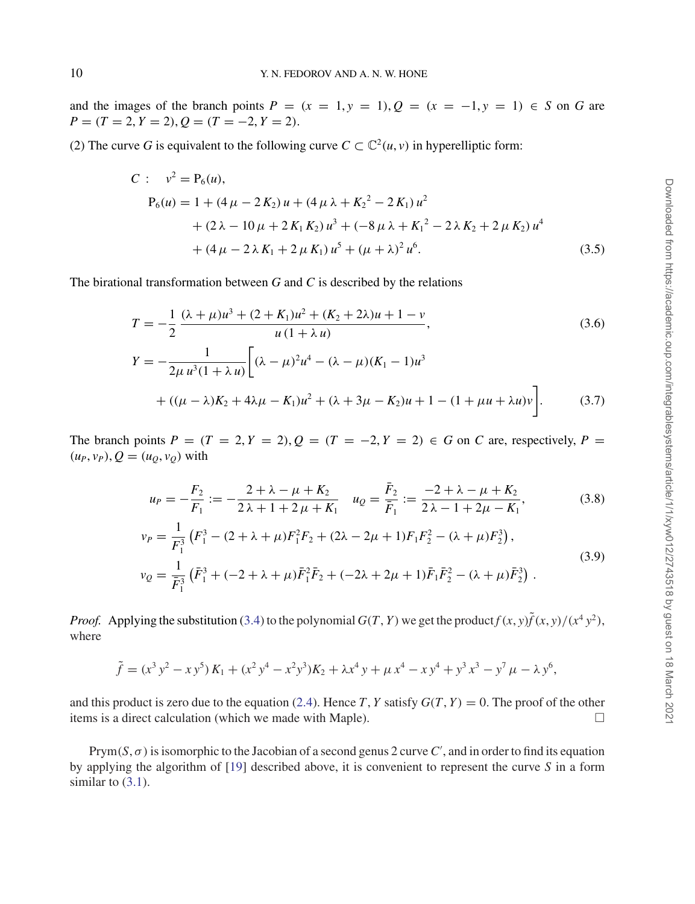and the images of the branch points  $P = (x = 1, y = 1), Q = (x = -1, y = 1) \in S$  on G are  $P = (T = 2, Y = 2), Q = (T = -2, Y = 2).$ 

(2) The curve G is equivalent to the following curve  $C \subset \mathbb{C}^2(u, v)$  in hyperelliptic form:

$$
C: \quad v^2 = P_6(u),
$$
  
\n
$$
P_6(u) = 1 + (4 \mu - 2 K_2) u + (4 \mu \lambda + K_2^2 - 2 K_1) u^2
$$
  
\n
$$
+ (2 \lambda - 10 \mu + 2 K_1 K_2) u^3 + (-8 \mu \lambda + K_1^2 - 2 \lambda K_2 + 2 \mu K_2) u^4
$$
  
\n
$$
+ (4 \mu - 2 \lambda K_1 + 2 \mu K_1) u^5 + (\mu + \lambda)^2 u^6.
$$
\n(3.5)

The birational transformation between *G* and *C* is described by the relations

$$
T = -\frac{1}{2} \frac{(\lambda + \mu)u^3 + (2 + K_1)u^2 + (K_2 + 2\lambda)u + 1 - v}{u(1 + \lambda u)},
$$
(3.6)  

$$
Y = -\frac{1}{2\mu u^3(1 + \lambda u)} \left[ (\lambda - \mu)^2 u^4 - (\lambda - \mu)(K_1 - 1)u^3 + ((\mu - \lambda)K_2 + 4\lambda\mu - K_1)u^2 + (\lambda + 3\mu - K_2)u + 1 - (1 + \mu u + \lambda u)v \right].
$$
(3.7)

The branch points  $P = (T = 2, Y = 2), Q = (T = -2, Y = 2) \in G$  on *C* are, respectively,  $P =$  $(u_P, v_P), Q = (u_Q, v_Q)$  with

$$
u_P = -\frac{F_2}{F_1} := -\frac{2 + \lambda - \mu + K_2}{2\lambda + 1 + 2\mu + K_1} \quad u_Q = \frac{\bar{F}_2}{\bar{F}_1} := \frac{-2 + \lambda - \mu + K_2}{2\lambda - 1 + 2\mu - K_1},\tag{3.8}
$$

$$
v_P = \frac{1}{F_1^3} \left( F_1^3 - (2 + \lambda + \mu) F_1^2 F_2 + (2\lambda - 2\mu + 1) F_1 F_2^2 - (\lambda + \mu) F_2^3 \right),
$$
  
\n
$$
v_Q = \frac{1}{\bar{F}_1^3} \left( \bar{F}_1^3 + (-2 + \lambda + \mu) \bar{F}_1^2 \bar{F}_2 + (-2\lambda + 2\mu + 1) \bar{F}_1 \bar{F}_2^2 - (\lambda + \mu) \bar{F}_2^3 \right).
$$
\n(3.9)

*Proof.* Applying the substitution (3.4) to the polynomial  $G(T, Y)$  we get the product  $f(x, y) \tilde{f}(x, y) / (x^4 y^2)$ , where

$$
\tilde{f} = (x^3 y^2 - x y^5) K_1 + (x^2 y^4 - x^2 y^3) K_2 + \lambda x^4 y + \mu x^4 - x y^4 + y^3 x^3 - y^7 \mu - \lambda y^6,
$$

and this product is zero due to the equation (2.4). Hence *T*, *Y* satisfy  $G(T, Y) = 0$ . The proof of the other items is a direct calculation (which we made with Maple).  $\Box$ 

Prym( $S$ ,  $\sigma$ ) is isomorphic to the Jacobian of a second genus 2 curve  $C'$ , and in order to find its equation by applying the algorithm of [19] described above, it is convenient to represent the curve *S* in a form similar to  $(3.1)$ .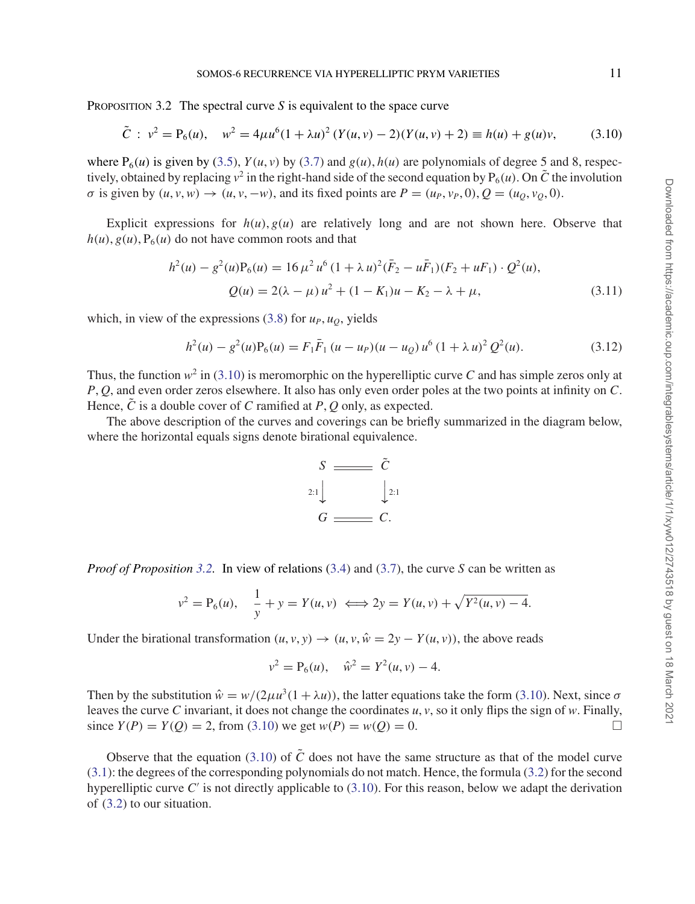PROPOSITION 3.2 The spectral curve *S* is equivalent to the space curve

$$
\tilde{C}: v^2 = P_6(u), \quad w^2 = 4\mu u^6 (1 + \lambda u)^2 (Y(u, v) - 2)(Y(u, v) + 2) \equiv h(u) + g(u)v,
$$
\n(3.10)

where  $P_6(u)$  is given by (3.5),  $Y(u, v)$  by (3.7) and  $g(u)$ ,  $h(u)$  are polynomials of degree 5 and 8, respectively, obtained by replacing  $v^2$  in the right-hand side of the second equation by  $P_6(u)$ . On  $\tilde{C}$  the involution  $\sigma$  is given by  $(u, v, w) \rightarrow (u, v, -w)$ , and its fixed points are  $P = (u_P, v_P, 0), Q = (u_Q, v_Q, 0)$ .

Explicit expressions for  $h(u)$ ,  $g(u)$  are relatively long and are not shown here. Observe that  $h(u)$ ,  $g(u)$ ,  $P_6(u)$  do not have common roots and that

$$
h^{2}(u) - g^{2}(u)P_{6}(u) = 16 \mu^{2} u^{6} (1 + \lambda u)^{2} (\bar{F}_{2} - u\bar{F}_{1})(F_{2} + uF_{1}) \cdot Q^{2}(u),
$$
  

$$
Q(u) = 2(\lambda - \mu) u^{2} + (1 - K_{1})u - K_{2} - \lambda + \mu,
$$
 (3.11)

which, in view of the expressions (3.8) for  $u_P$ ,  $u_Q$ , yields

$$
h^{2}(u) - g^{2}(u)P_{6}(u) = F_{1}\bar{F}_{1}(u - u_{P})(u - u_{Q})u^{6}(1 + \lambda u)^{2}Q^{2}(u).
$$
 (3.12)

Thus, the function  $w^2$  in (3.10) is meromorphic on the hyperelliptic curve *C* and has simple zeros only at *P*, *Q*, and even order zeros elsewhere. It also has only even order poles at the two points at infinity on *C*. Hence,  $\tilde{C}$  is a double cover of  $C$  ramified at  $P$ ,  $Q$  only, as expected.

The above description of the curves and coverings can be briefly summarized in the diagram below, where the horizontal equals signs denote birational equivalence.



*Proof of Proposition* 3.2. In view of relations (3.4) and (3.7), the curve *S* can be written as

$$
v^{2} = P_{6}(u), \quad \frac{1}{y} + y = Y(u, v) \iff 2y = Y(u, v) + \sqrt{Y^{2}(u, v) - 4}.
$$

Under the birational transformation  $(u, v, y) \rightarrow (u, v, \hat{w} = 2y - Y(u, v))$ , the above reads

$$
v^2 = P_6(u), \quad \hat{w}^2 = Y^2(u, v) - 4.
$$

Then by the substitution  $\hat{w} = w/(2\mu u^3(1 + \lambda u))$ , the latter equations take the form (3.10). Next, since  $\sigma$ leaves the curve *C* invariant, it does not change the coordinates *u*, *v*, so it only flips the sign of *w*. Finally, since  $Y(P) = Y(O) = 2$ , from (3.10) we get  $w(P) = w(O) = 0$ .

Observe that the equation  $(3.10)$  of  $\tilde{C}$  does not have the same structure as that of the model curve (3.1): the degrees of the corresponding polynomials do not match. Hence, the formula (3.2) for the second hyperelliptic curve *C* is not directly applicable to (3.10). For this reason, below we adapt the derivation of (3.2) to our situation.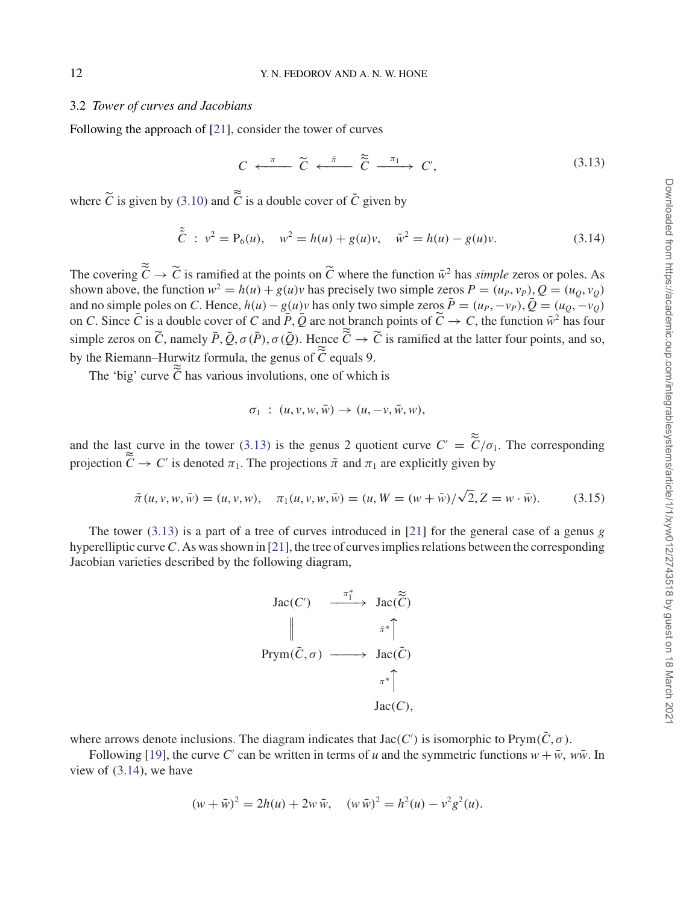#### 3.2 *Tower of curves and Jacobians*

Following the approach of [21], consider the tower of curves

 $C \leftarrow \pi$   $\widetilde{C} \leftarrow \tilde{\pi}$   $\widetilde{C} \leftarrow \pi_1$   $C'$  $(3.13)$ 

where  $\tilde{C}$  is given by (3.10) and  $\tilde{\tilde{C}}$  is a double cover of  $\tilde{C}$  given by

$$
\tilde{\tilde{C}} : v^2 = P_6(u), \quad w^2 = h(u) + g(u)v, \quad \bar{w}^2 = h(u) - g(u)v.
$$
 (3.14)

The covering  $\tilde{C} \to \tilde{C}$  is ramified at the points on  $\tilde{C}$  where the function  $\tilde{w}^2$  has *simple* zeros or poles. As shown above, the function  $w^2 = h(u) + g(u)v$  has precisely two simple zeros  $P = (u_P, v_P), Q = (u_Q, v_Q)$ and no simple poles on *C*. Hence,  $h(u) - g(u)v$  has only two simple zeros  $\bar{P} = (u_P, -v_P), \bar{Q} = (u_O, -v_O)$ on *C*. Since  $\tilde{C}$  is a double cover of *C* and  $\tilde{P}$ ,  $\tilde{Q}$  are not branch points of  $\tilde{C} \to C$ , the function  $\tilde{w}^2$  has four simple zeros on  $\tilde{C}$ , namely  $\bar{P}$ ,  $\bar{Q}$ ,  $\sigma(\bar{P})$ ,  $\sigma(\bar{Q})$ . Hence  $\tilde{\tilde{C}} \to \tilde{C}$  is ramified at the latter four points, and so, by the Riemann–Hurwitz formula, the genus of  $\tilde{\tilde{C}}$  equals 9.

The 'big' curve  $\tilde{C}$  has various involutions, one of which is

$$
\sigma_1 \; : \; (u,v,w,\bar{w}) \to (u,-v,\bar{w},w),
$$

and the last curve in the tower (3.13) is the genus 2 quotient curve  $C' = \frac{\tilde{c}}{C} / \sigma_1$ . The corresponding projection  $\tilde{C} \to C'$  is denoted  $\pi_1$ . The projections  $\tilde{\pi}$  and  $\pi_1$  are explicitly given by

$$
\tilde{\pi}(u, v, w, \bar{w}) = (u, v, w), \quad \pi_1(u, v, w, \bar{w}) = (u, W = (w + \bar{w})/\sqrt{2}, Z = w \cdot \bar{w}).
$$
\n(3.15)

The tower (3.13) is a part of a tree of curves introduced in [21] for the general case of a genus *g* hyperelliptic curve*C*. As was shown in [21], the tree of curves implies relations between the corresponding Jacobian varieties described by the following diagram,



where arrows denote inclusions. The diagram indicates that  $Jac(C')$  is isomorphic to Prym $(\tilde{C}, \sigma)$ .

Following [19], the curve *C'* can be written in terms of *u* and the symmetric functions  $w + \bar{w}$ ,  $w\bar{w}$ . In view of (3.14), we have

$$
(w + \bar{w})^2 = 2h(u) + 2w \bar{w}, \quad (w \bar{w})^2 = h^2(u) - v^2 g^2(u).
$$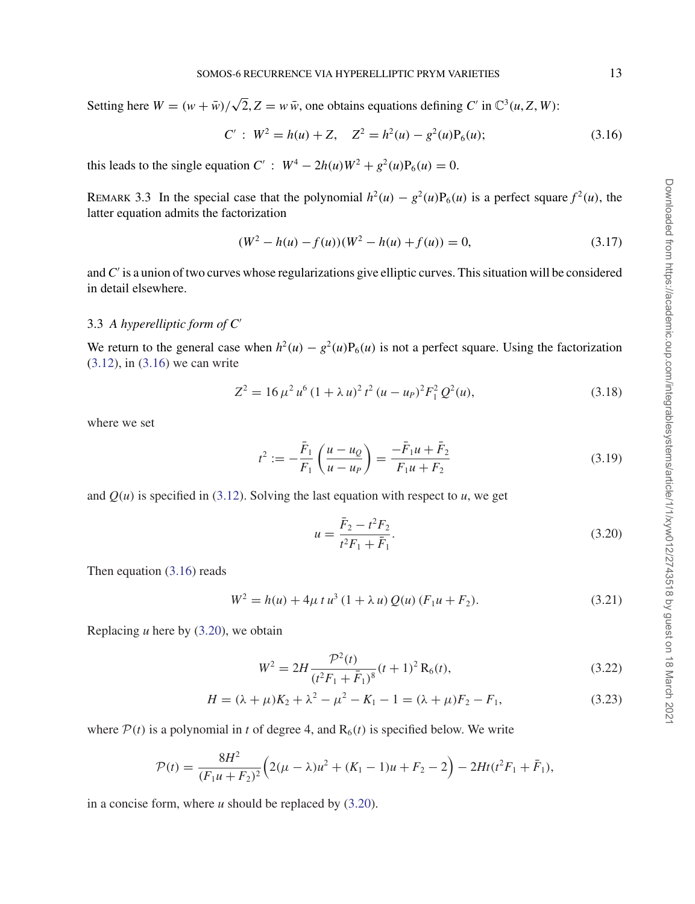Setting here  $W = (w + \bar{w})/\sqrt{2}$ ,  $Z = w\bar{w}$ , one obtains equations defining *C'* in  $\mathbb{C}^3(u, Z, W)$ :

$$
C': W2 = h(u) + Z, Z2 = h2(u) - g2(u)P6(u);
$$
 (3.16)

this leads to the single equation  $C'$  :  $W^4 - 2h(u)W^2 + g^2(u)P_6(u) = 0$ .

REMARK 3.3 In the special case that the polynomial  $h^2(u) - g^2(u)P_6(u)$  is a perfect square  $f^2(u)$ , the latter equation admits the factorization

$$
(W2 - h(u) - f(u))(W2 - h(u) + f(u)) = 0,
$$
\n(3.17)

and *C* is a union of two curves whose regularizations give elliptic curves. This situation will be considered in detail elsewhere.

#### 3.3 *A hyperelliptic form of C*

We return to the general case when  $h^2(u) - g^2(u)P_6(u)$  is not a perfect square. Using the factorization (3.12), in (3.16) we can write

$$
Z^{2} = 16 \,\mu^{2} u^{6} (1 + \lambda u)^{2} t^{2} (u - u_{P})^{2} F_{1}^{2} Q^{2}(u), \qquad (3.18)
$$

where we set

$$
t^{2} := -\frac{\bar{F}_{1}}{F_{1}} \left( \frac{u - u_{Q}}{u - u_{P}} \right) = \frac{-\bar{F}_{1}u + \bar{F}_{2}}{F_{1}u + F_{2}}
$$
(3.19)

and  $Q(u)$  is specified in (3.12). Solving the last equation with respect to  $u$ , we get

$$
u = \frac{\bar{F}_2 - t^2 F_2}{t^2 F_1 + \bar{F}_1}.
$$
\n(3.20)

Then equation (3.16) reads

$$
W^{2} = h(u) + 4\mu t u^{3} (1 + \lambda u) Q(u) (F_{1}u + F_{2}).
$$
\n(3.21)

Replacing *u* here by (3.20), we obtain

$$
W^{2} = 2H \frac{\mathcal{P}^{2}(t)}{(t^{2}F_{1} + \bar{F}_{1})^{8}}(t+1)^{2} R_{6}(t),
$$
\n(3.22)

$$
H = (\lambda + \mu)K_2 + \lambda^2 - \mu^2 - K_1 - 1 = (\lambda + \mu)F_2 - F_1,
$$
\n(3.23)

where  $P(t)$  is a polynomial in *t* of degree 4, and  $R_6(t)$  is specified below. We write

$$
\mathcal{P}(t) = \frac{8H^2}{(F_1u + F_2)^2} \Big( 2(\mu - \lambda)u^2 + (K_1 - 1)u + F_2 - 2 \Big) - 2Ht(t^2F_1 + \bar{F}_1),
$$

in a concise form, where *u* should be replaced by (3.20).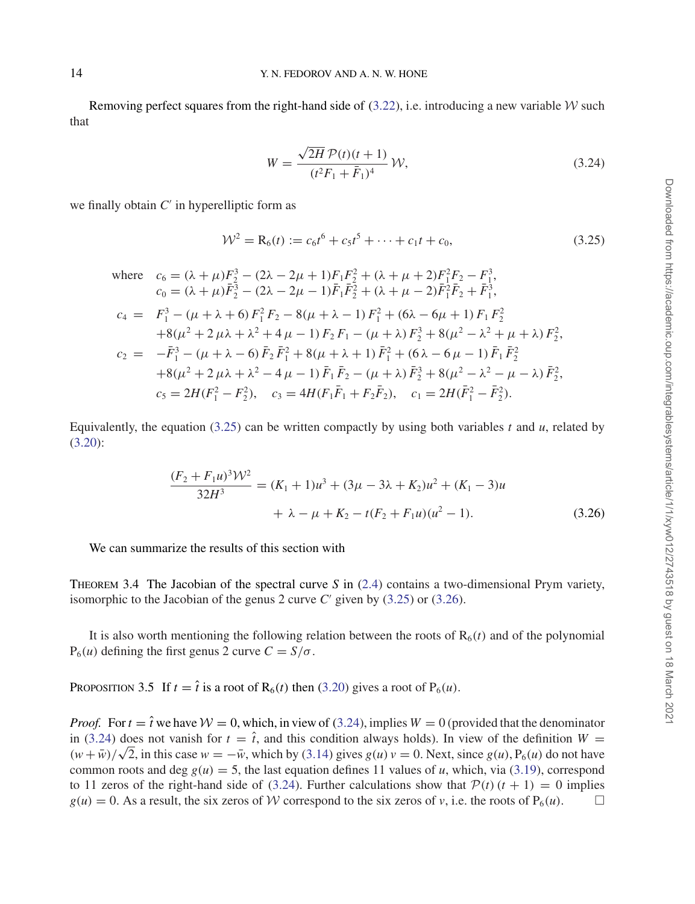Removing perfect squares from the right-hand side of  $(3.22)$ , i.e. introducing a new variable W such that

$$
W = \frac{\sqrt{2H} \mathcal{P}(t)(t+1)}{(t^2 F_1 + \bar{F}_1)^4} \mathcal{W},\tag{3.24}
$$

we finally obtain  $C'$  in hyperelliptic form as

$$
\mathcal{W}^2 = \mathbf{R}_6(t) := c_6 t^6 + c_5 t^5 + \dots + c_1 t + c_0,\tag{3.25}
$$

where 
$$
c_6 = (\lambda + \mu)F_2^3 - (2\lambda - 2\mu + 1)F_1F_2^2 + (\lambda + \mu + 2)F_1^2F_2 - F_1^3
$$
,  
\n $c_0 = (\lambda + \mu)\bar{F}_2^3 - (2\lambda - 2\mu - 1)\bar{F}_1\bar{F}_2^2 + (\lambda + \mu - 2)\bar{F}_1^2\bar{F}_2 + \bar{F}_1^3$ ,  
\n $c_4 = F_1^3 - (\mu + \lambda + 6)F_1^2F_2 - 8(\mu + \lambda - 1)F_1^2 + (6\lambda - 6\mu + 1)F_1F_2^2$   
\n $+ 8(\mu^2 + 2\mu\lambda + \lambda^2 + 4\mu - 1)F_2F_1 - (\mu + \lambda)F_2^3 + 8(\mu^2 - \lambda^2 + \mu + \lambda)F_2^2$ ,  
\n $c_2 = -\bar{F}_1^3 - (\mu + \lambda - 6)\bar{F}_2\bar{F}_1^2 + 8(\mu + \lambda + 1)\bar{F}_1^2 + (6\lambda - 6\mu - 1)\bar{F}_1\bar{F}_2^2$   
\n $+ 8(\mu^2 + 2\mu\lambda + \lambda^2 - 4\mu - 1)\bar{F}_1\bar{F}_2 - (\mu + \lambda)\bar{F}_2^3 + 8(\mu^2 - \lambda^2 - \mu - \lambda)\bar{F}_2^2$ ,  
\n $c_5 = 2H(F_1^2 - F_2^2)$ ,  $c_3 = 4H(F_1\bar{F}_1 + F_2\bar{F}_2)$ ,  $c_1 = 2H(\bar{F}_1^2 - \bar{F}_2^2)$ .

Equivalently, the equation  $(3.25)$  can be written compactly by using both variables *t* and *u*, related by (3.20):

$$
\frac{(F_2 + F_1 u)^3 \mathcal{W}^2}{32H^3} = (K_1 + 1)u^3 + (3\mu - 3\lambda + K_2)u^2 + (K_1 - 3)u
$$
  
+  $\lambda - \mu + K_2 - t(F_2 + F_1 u)(u^2 - 1).$  (3.26)

We can summarize the results of this section with

Theorem 3.4 The Jacobian of the spectral curve *S* in (2.4) contains a two-dimensional Prym variety, isomorphic to the Jacobian of the genus 2 curve  $C'$  given by (3.25) or (3.26).

It is also worth mentioning the following relation between the roots of  $R_6(t)$  and of the polynomial  $P_6(u)$  defining the first genus 2 curve  $C = S/\sigma$ .

PROPOSITION 3.5 If  $t = \hat{t}$  is a root of R<sub>6</sub>(*t*) then (3.20) gives a root of P<sub>6</sub>(*u*).

*Proof.* For  $t = \hat{t}$  we have  $W = 0$ , which, in view of (3.24), implies  $W = 0$  (provided that the denominator in (3.24) does not vanish for  $t = \hat{t}$ , and this condition always holds). In view of the definition  $W =$  $(w + \bar{w})/\sqrt{2}$ , in this case  $w = -\bar{w}$ , which by (3.14) gives  $g(u)v = 0$ . Next, since  $g(u)$ ,  $P_6(u)$  do not have common roots and deg  $g(u) = 5$ , the last equation defines 11 values of *u*, which, via (3.19), correspond to 11 zeros of the right-hand side of (3.24). Further calculations show that  $P(t)$   $(t + 1) = 0$  implies  $g(u) = 0$ . As a result, the six zeros of  $W$  correspond to the six zeros of  $v$ , i.e. the roots of  $P_6(u)$ .  $g(u) = 0$ . As a result, the six zeros of W correspond to the six zeros of v, i.e. the roots of  $P_6(u)$ .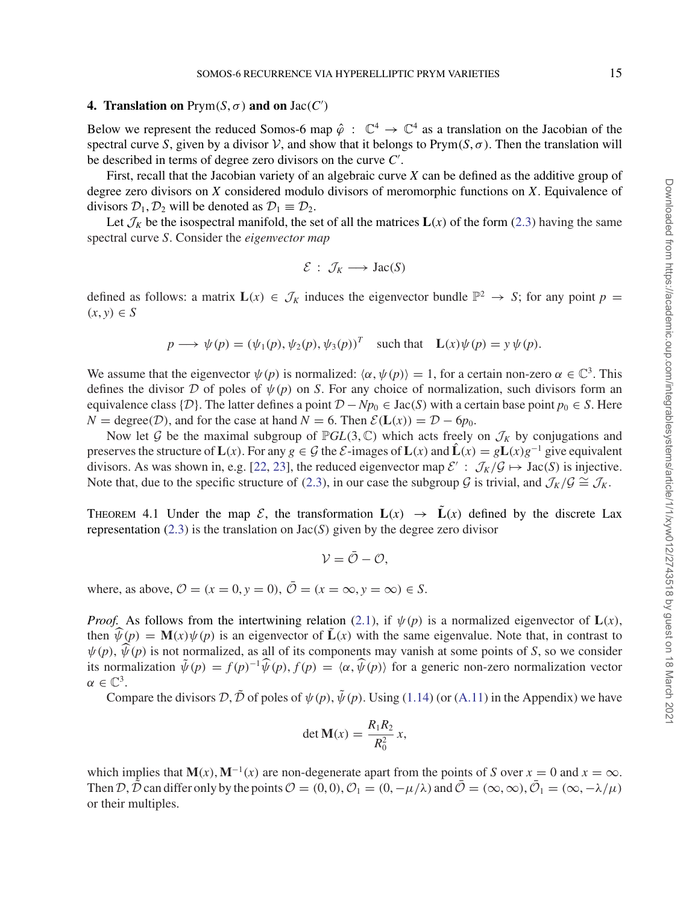#### **4. Translation on**  $Prym(S, \sigma)$  and on  $Jac(C')$

Below we represent the reduced Somos-6 map  $\hat{\varphi}$  :  $\mathbb{C}^4 \to \mathbb{C}^4$  as a translation on the Jacobian of the spectral curve *S*, given by a divisor  $V$ , and show that it belongs to Prym(*S*,  $\sigma$ ). Then the translation will be described in terms of degree zero divisors on the curve *C* .

First, recall that the Jacobian variety of an algebraic curve *X* can be defined as the additive group of degree zero divisors on *X* considered modulo divisors of meromorphic functions on *X*. Equivalence of divisors  $\mathcal{D}_1, \mathcal{D}_2$  will be denoted as  $\mathcal{D}_1 \equiv \mathcal{D}_2$ .

Let  $\mathcal{J}_K$  be the isospectral manifold, the set of all the matrices  $\mathbf{L}(x)$  of the form (2.3) having the same spectral curve *S*. Consider the *eigenvector map*

$$
\mathcal{E}:\,\mathcal{J}_K\longrightarrow\operatorname{Jac}(S)
$$

defined as follows: a matrix  $L(x) \in \mathcal{J}_k$  induces the eigenvector bundle  $\mathbb{P}^2 \to S$ ; for any point  $p =$  $(x, y) \in S$ 

$$
p \longrightarrow \psi(p) = (\psi_1(p), \psi_2(p), \psi_3(p))^T
$$
 such that  $L(x)\psi(p) = y\psi(p)$ .

We assume that the eigenvector  $\psi(p)$  is normalized:  $\langle \alpha, \psi(p) \rangle = 1$ , for a certain non-zero  $\alpha \in \mathbb{C}^3$ . This defines the divisor D of poles of  $\psi(p)$  on *S*. For any choice of normalization, such divisors form an equivalence class {D}. The latter defines a point  $D - Np_0 \in \text{Jac}(S)$  with a certain base point  $p_0 \in S$ . Here  $N = \text{degree}(\mathcal{D})$ , and for the case at hand  $N = 6$ . Then  $\mathcal{E}(\mathbf{L}(x)) = \mathcal{D} - 6p_0$ .

Now let G be the maximal subgroup of  $\mathbb{P}GL(3,\mathbb{C})$  which acts freely on  $\mathcal{J}_K$  by conjugations and preserves the structure of  $L(x)$ . For any  $g \in G$  the  $\mathcal{E}$ -images of  $L(x)$  and  $\hat{L}(x) = gL(x)g^{-1}$  give equivalent divisors. As was shown in, e.g. [22, 23], the reduced eigenvector map  $\mathcal{E}' : \mathcal{J}_K/\mathcal{G} \mapsto \text{Jac}(S)$  is injective. Note that, due to the specific structure of (2.3), in our case the subgroup G is trivial, and  $\mathcal{J}_K/\mathcal{G} \cong \mathcal{J}_K$ .

THEOREM 4.1 Under the map  $\mathcal{E}$ , the transformation  $\mathbf{L}(x) \to \mathbf{L}(x)$  defined by the discrete Lax representation  $(2.3)$  is the translation on  $Jac(S)$  given by the degree zero divisor

 $V = \overline{Q} - Q$ 

where, as above,  $\mathcal{O} = (x = 0, y = 0), \overline{\mathcal{O}} = (x = \infty, y = \infty) \in S$ .

*Proof.* As follows from the intertwining relation (2.1), if  $\psi(p)$  is a normalized eigenvector of  $\mathbf{L}(x)$ , then  $\widehat{\psi}(p) = \mathbf{M}(x)\psi(p)$  is an eigenvector of  $\widetilde{\mathbf{L}}(x)$  with the same eigenvalue. Note that, in contrast to  $\psi(p)$ ,  $\hat{\psi}(p)$  is not normalized, as all of its components may vanish at some points of *S*, so we consider its normalization  $\tilde{\psi}(p) = f(p)^{-1} \hat{\psi}(p)$ ,  $f(p) = \langle \alpha, \hat{\psi}(p) \rangle$  for a generic non-zero normalization vector  $\alpha \in \mathbb{C}^3$ .

Compare the divisors  $\mathcal{D}, \tilde{\mathcal{D}}$  of poles of  $\psi(p)$ ,  $\tilde{\psi}(p)$ . Using (1.14) (or (A.11) in the Appendix) we have

$$
\det \mathbf{M}(x) = \frac{R_1 R_2}{R_0^2} x,
$$

which implies that  $\mathbf{M}(x)$ ,  $\mathbf{M}^{-1}(x)$  are non-degenerate apart from the points of *S* over  $x = 0$  and  $x = \infty$ . Then D,  $\tilde{D}$  can differ only by the points  $\mathcal{O} = (0, 0), \mathcal{O}_1 = (0, -\mu/\lambda)$  and  $\tilde{\mathcal{O}} = (\infty, \infty), \tilde{\mathcal{O}}_1 = (\infty, -\lambda/\mu)$ or their multiples.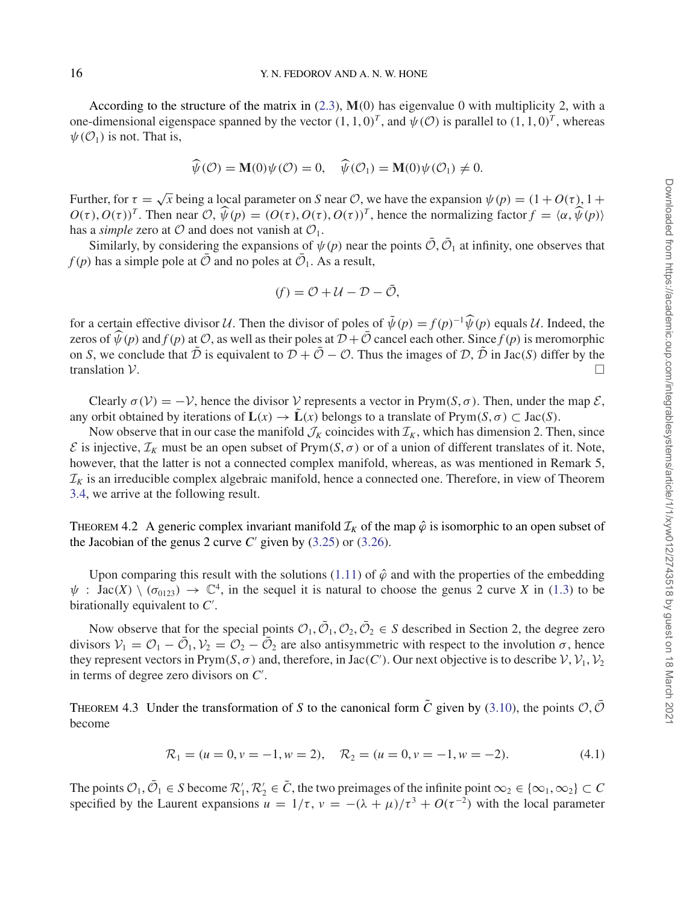According to the structure of the matrix in (2.3), **M**(0) has eigenvalue 0 with multiplicity 2, with a one-dimensional eigenspace spanned by the vector  $(1, 1, 0)^T$ , and  $\psi$  (O) is parallel to  $(1, 1, 0)^T$ , whereas  $\psi(\mathcal{O}_1)$  is not. That is,

$$
\widehat{\psi}(\mathcal{O}) = \mathbf{M}(0)\psi(\mathcal{O}) = 0, \quad \widehat{\psi}(\mathcal{O}_1) = \mathbf{M}(0)\psi(\mathcal{O}_1) \neq 0.
$$

Further, for  $\tau = \sqrt{x}$  being a local parameter on *S* near *O*, we have the expansion  $\psi(p) = (1 + O(\tau), 1 + O(\tau))$  $O(\tau), O(\tau)^{T}$ . Then near  $O, \widehat{\psi}(p) = (O(\tau), O(\tau), O(\tau))^{T}$ , hence the normalizing factor  $f = \langle \alpha, \widehat{\psi}(p) \rangle$ has a *simple* zero at  $\mathcal O$  and does not vanish at  $\mathcal O_1$ .

Similarly, by considering the expansions of  $\psi(p)$  near the points  $\overline{O}$ ,  $\overline{O}_1$  at infinity, one observes that  $f(p)$  has a simple pole at  $\overline{O}$  and no poles at  $\overline{O}_1$ . As a result,

$$
(f) = \mathcal{O} + \mathcal{U} - \mathcal{D} - \bar{\mathcal{O}},
$$

for a certain effective divisor U. Then the divisor of poles of  $\tilde{\psi}(p) = f(p)^{-1} \hat{\psi}(p)$  equals U. Indeed, the zeros of  $\widehat{\psi}(p)$  and  $f(p)$  at  $\mathcal{O}$ , as well as their poles at  $\mathcal{D} + \overline{\mathcal{O}}$  cancel each other. Since  $f(p)$  is meromorphic on *S*, we conclude that  $\tilde{D}$  is equivalent to  $D + \bar{O} - O$ . Thus the images of  $D$ ,  $\tilde{D}$  in Jac(*S*) differ by the translation  $V$ . □ translation  $\mathcal V$ .

Clearly  $\sigma(\mathcal{V}) = -\mathcal{V}$ , hence the divisor  $\mathcal V$  represents a vector in Prym(*S*,  $\sigma$ ). Then, under the map  $\mathcal E$ , any orbit obtained by iterations of  $\mathbf{L}(x) \to \mathbf{L}(x)$  belongs to a translate of Prym( $S, \sigma$ ) ⊂ Jac( $S$ ).

Now observe that in our case the manifold  $\mathcal{J}_K$  coincides with  $\mathcal{I}_K$ , which has dimension 2. Then, since  $\mathcal E$  is injective,  $\mathcal I_K$  must be an open subset of Prym( $S, \sigma$ ) or of a union of different translates of it. Note, however, that the latter is not a connected complex manifold, whereas, as was mentioned in Remark 5,  $\mathcal{I}_K$  is an irreducible complex algebraic manifold, hence a connected one. Therefore, in view of Theorem 3.4, we arrive at the following result.

THEOREM 4.2 A generic complex invariant manifold  $\mathcal{I}_K$  of the map  $\hat{\varphi}$  is isomorphic to an open subset of the Jacobian of the genus 2 curve  $C'$  given by  $(3.25)$  or  $(3.26)$ .

Upon comparing this result with the solutions (1.11) of  $\hat{\varphi}$  and with the properties of the embedding  $\psi$ : Jac(X) \ ( $\sigma_{0123}$ )  $\rightarrow \mathbb{C}^4$ , in the sequel it is natural to choose the genus 2 curve X in (1.3) to be birationally equivalent to *C* .

Now observe that for the special points  $\mathcal{O}_1, \bar{\mathcal{O}}_1, \mathcal{O}_2, \bar{\mathcal{O}}_2 \in S$  described in Section 2, the degree zero divisors  $V_1 = \mathcal{O}_1 - \bar{\mathcal{O}}_1$ ,  $V_2 = \mathcal{O}_2 - \bar{\mathcal{O}}_2$  are also antisymmetric with respect to the involution  $\sigma$ , hence they represent vectors in Prym(*S*,  $\sigma$ ) and, therefore, in Jac(*C*'). Our next objective is to describe  $V$ ,  $V_1$ ,  $V_2$ in terms of degree zero divisors on *C* .

THEOREM 4.3 Under the transformation of *S* to the canonical form  $\tilde{C}$  given by (3.10), the points  $\mathcal{O}, \tilde{\mathcal{O}}$ become

$$
\mathcal{R}_1 = (u = 0, v = -1, w = 2), \quad \mathcal{R}_2 = (u = 0, v = -1, w = -2). \tag{4.1}
$$

The points  $\mathcal{O}_1, \bar{\mathcal{O}}_1 \in S$  become  $\mathcal{R}'_1, \mathcal{R}'_2 \in \tilde{C}$ , the two preimages of the infinite point  $\infty_2 \in \{\infty_1, \infty_2\} \subset C$ specified by the Laurent expansions  $u = 1/\tau$ ,  $v = -(\lambda + \mu)/\tau^3 + O(\tau^{-2})$  with the local parameter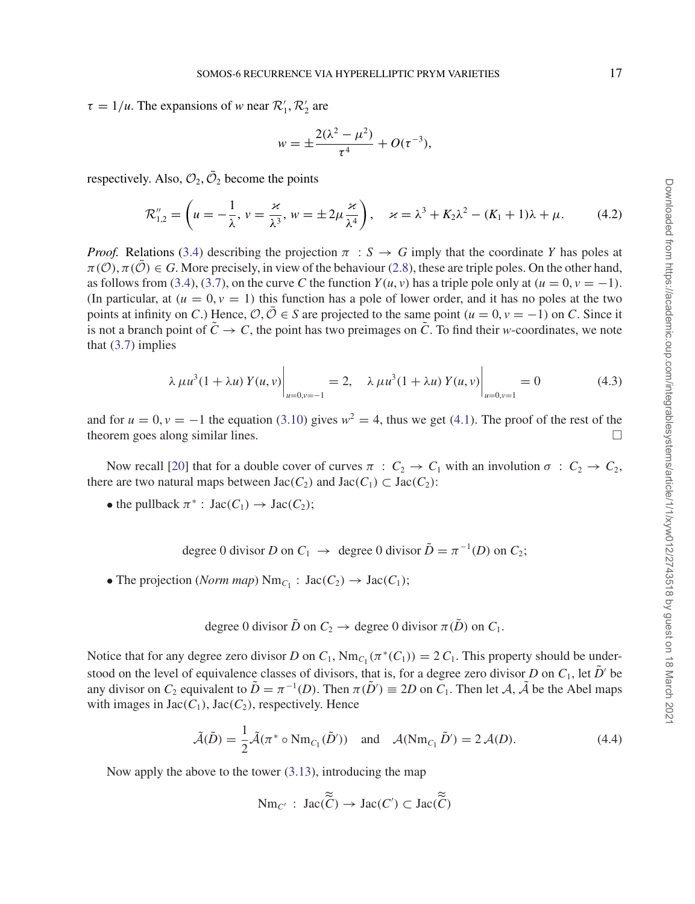$\tau = 1/u$ . The expansions of *w* near  $\mathcal{R}'_1$ ,  $\mathcal{R}'_2$  are

$$
w = \pm \frac{2(\lambda^2 - \mu^2)}{\tau^4} + O(\tau^{-3}),
$$

respectively. Also,  $\mathcal{O}_2$ ,  $\overline{\mathcal{O}}_2$  become the points

$$
\mathcal{R}_{1,2}'' = \left(u = -\frac{1}{\lambda}, v = \frac{\varkappa}{\lambda^3}, w = \pm 2\mu \frac{\varkappa}{\lambda^4}\right), \quad \varkappa = \lambda^3 + K_2\lambda^2 - (K_1 + 1)\lambda + \mu. \tag{4.2}
$$

*Proof.* Relations (3.4) describing the projection  $\pi : S \to G$  imply that the coordinate *Y* has poles at  $\pi(\mathcal{O}), \pi(\mathcal{O}) \in G$ . More precisely, in view of the behaviour (2.8), these are triple poles. On the other hand, as follows from (3.4), (3.7), on the curve *C* the function  $Y(u, v)$  has a triple pole only at  $(u = 0, v = -1)$ . (In particular, at  $(u = 0, v = 1)$ ) this function has a pole of lower order, and it has no poles at the two points at infinity on *C*.) Hence,  $\mathcal{O}, \overline{\mathcal{O}} \in S$  are projected to the same point  $(u = 0, v = -1)$  on *C*. Since it is not a branch point of  $\tilde{C} \to C$ , the point has two preimages on  $\tilde{C}$ . To find their *w*-coordinates, we note that  $(3.7)$  implies

$$
\lambda \mu u^{3} (1 + \lambda u) Y(u, v) \Big|_{u=0, v=-1} = 2, \quad \lambda \mu u^{3} (1 + \lambda u) Y(u, v) \Big|_{u=0, v=1} = 0 \tag{4.3}
$$

and for  $u = 0$ ,  $v = -1$  the equation (3.10) gives  $w^2 = 4$ , thus we get (4.1). The proof of the rest of the theorem goes along similar lines.

Now recall [20] that for a double cover of curves  $\pi$  :  $C_2 \rightarrow C_1$  with an involution  $\sigma$  :  $C_2 \rightarrow C_2$ , there are two natural maps between  $Jac(C_2)$  and  $Jac(C_1) \subset Jac(C_2)$ :

• the pullback  $\pi^*$ :  $Jac(C_1) \to Jac(C_2)$ ;

degree 0 divisor *D* on  $C_1 \rightarrow$  degree 0 divisor  $\tilde{D} = \pi^{-1}(D)$  on  $C_2$ ;

• The projection (*Norm map*)  $Nm_{C_1}$ :  $Jac(C_2) \rightarrow Jac(C_1)$ ;

degree 0 divisor 
$$
\tilde{D}
$$
 on  $C_2 \to$  degree 0 divisor  $\pi(\tilde{D})$  on  $C_1$ .

Notice that for any degree zero divisor *D* on  $C_1$ , Nm<sub>*C*1</sub> ( $\pi^*(C_1)$ ) = 2  $C_1$ . This property should be understood on the level of equivalence classes of divisors, that is, for a degree zero divisor *D* on  $C_1$ , let  $\tilde{D}'$  be any divisor on *C*<sub>2</sub> equivalent to  $\tilde{D} = \pi^{-1}(D)$ . Then  $\pi(\tilde{D}') \equiv 2D$  on *C*<sub>1</sub>. Then let *A*,  $\tilde{A}$  be the Abel maps with images in  $Jac(C_1)$ ,  $Jac(C_2)$ , respectively. Hence

$$
\tilde{\mathcal{A}}(\tilde{D}) = \frac{1}{2}\tilde{\mathcal{A}}(\pi^* \circ \text{Nm}_{C_1}(\tilde{D}')) \text{ and } \mathcal{A}(\text{Nm}_{C_1}\tilde{D}') = 2\mathcal{A}(D). \tag{4.4}
$$

Now apply the above to the tower (3.13), introducing the map

$$
\operatorname{Nm}_{C'}: \operatorname{Jac}(\widetilde{\widetilde{C}}) \to \operatorname{Jac}(C') \subset \operatorname{Jac}(\widetilde{\widetilde{C}})
$$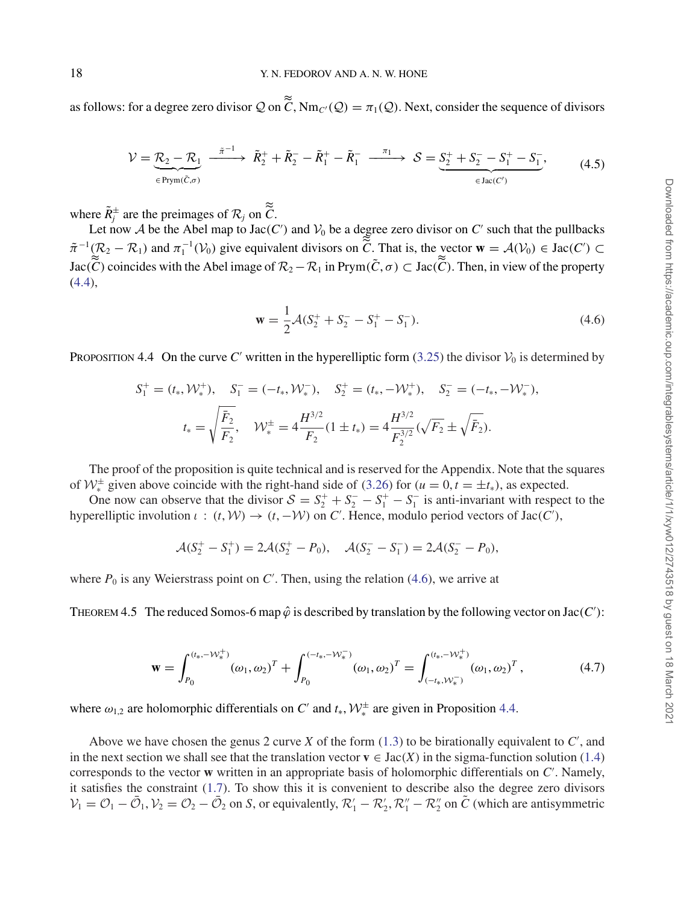as follows: for a degree zero divisor  $Q$  on  $\tilde{C}$ , Nm<sub>C</sub>( $Q$ ) =  $\pi_1(Q)$ . Next, consider the sequence of divisors

$$
\mathcal{V} = \underbrace{\mathcal{R}_2 - \mathcal{R}_1}_{\in \text{Prym}(\tilde{C}, \sigma)} \xrightarrow{\tilde{\pi}^{-1}} \tilde{R}_2^+ + \tilde{R}_2^- - \tilde{R}_1^+ - \tilde{R}_1^- \xrightarrow{\pi_1} \mathcal{S} = \underbrace{S_2^+ + S_2^- - S_1^+ - S_1^-}_{\in \text{Jac}(C')} ,\tag{4.5}
$$

where  $\tilde{R}^{\pm}_j$  are the preimages of  $\mathcal{R}_j$  on  $\tilde{C}$ .

Let now A be the Abel map to Jac(C') and  $V_0$  be a degree zero divisor on C' such that the pullbacks  $\tilde{\pi}^{-1}(\mathcal{R}_2 - \mathcal{R}_1)$  and  $\pi_1^{-1}(\mathcal{V}_0)$  give equivalent divisors on  $\tilde{C}$ . That is, the vector  $\mathbf{w} = \mathcal{A}(\mathcal{V}_0) \in \text{Jac}(C') \subset \tilde{C}$  $Jac(\tilde{C})$  coincides with the Abel image of  $\mathcal{R}_2 - \mathcal{R}_1$  in Prym $(\tilde{C}, \sigma) \subset Jac(\tilde{C})$ . Then, in view of the property (4.4),

$$
\mathbf{w} = \frac{1}{2}\mathcal{A}(S_2^+ + S_2^- - S_1^+ - S_1^-). \tag{4.6}
$$

PROPOSITION 4.4 On the curve C' written in the hyperelliptic form  $(3.25)$  the divisor  $\mathcal{V}_0$  is determined by

$$
S_1^+ = (t_*, \mathcal{W}_*^+), \quad S_1^- = (-t_*, \mathcal{W}_*^-), \quad S_2^+ = (t_*, -\mathcal{W}_*^+), \quad S_2^- = (-t_*, -\mathcal{W}_*^-),
$$

$$
t_* = \sqrt{\frac{\bar{F}_2}{F_2}}, \quad \mathcal{W}_*^{\pm} = 4\frac{H^{3/2}}{F_2}(1 \pm t_*) = 4\frac{H^{3/2}}{F_2^{3/2}}(\sqrt{F_2} \pm \sqrt{\bar{F}_2}).
$$

The proof of the proposition is quite technical and is reserved for the Appendix. Note that the squares of  $W^{\pm}$  given above coincide with the right-hand side of (3.26) for  $(u = 0, t = \pm t_*)$ , as expected.

One now can observe that the divisor  $S = S_2^+ + S_2^- - S_1^+ - S_1^-$  is anti-invariant with respect to the hyperelliptic involution  $\iota$  :  $(t, W) \to (t, -W)$  on *C'*. Hence, modulo period vectors of Jac(*C'*),

$$
\mathcal{A}(S_2^+ - S_1^+) = 2\mathcal{A}(S_2^+ - P_0), \quad \mathcal{A}(S_2^- - S_1^-) = 2\mathcal{A}(S_2^- - P_0),
$$

where  $P_0$  is any Weierstrass point on  $C'$ . Then, using the relation (4.6), we arrive at

THEOREM 4.5 The reduced Somos-6 map  $\hat{\varphi}$  is described by translation by the following vector on Jac(*C'*):

$$
\mathbf{w} = \int_{P_0}^{(t_*, -W_*^+)} (\omega_1, \omega_2)^T + \int_{P_0}^{(-t_*, -W_*^-)} (\omega_1, \omega_2)^T = \int_{(-t_*, W_*^-)}^{(t_*, -W_*^+)} (\omega_1, \omega_2)^T,
$$
(4.7)

where  $\omega_{1,2}$  are holomorphic differentials on *C'* and  $t_*, \mathcal{W}^{\pm}_*$  are given in Proposition 4.4.

Above we have chosen the genus 2 curve  $X$  of the form  $(1.3)$  to be birationally equivalent to  $C'$ , and in the next section we shall see that the translation vector  $\mathbf{v} \in \text{Jac}(X)$  in the sigma-function solution (1.4) corresponds to the vector **w** written in an appropriate basis of holomorphic differentials on *C* . Namely, it satisfies the constraint (1.7). To show this it is convenient to describe also the degree zero divisors  $V_1 = O_1 - \bar{O}_1$ ,  $V_2 = O_2 - \bar{O}_2$  on *S*, or equivalently,  $\mathcal{R}'_1 - \mathcal{R}'_2$ ,  $\mathcal{R}''_1 - \mathcal{R}''_2$  on  $\tilde{C}$  (which are antisymmetric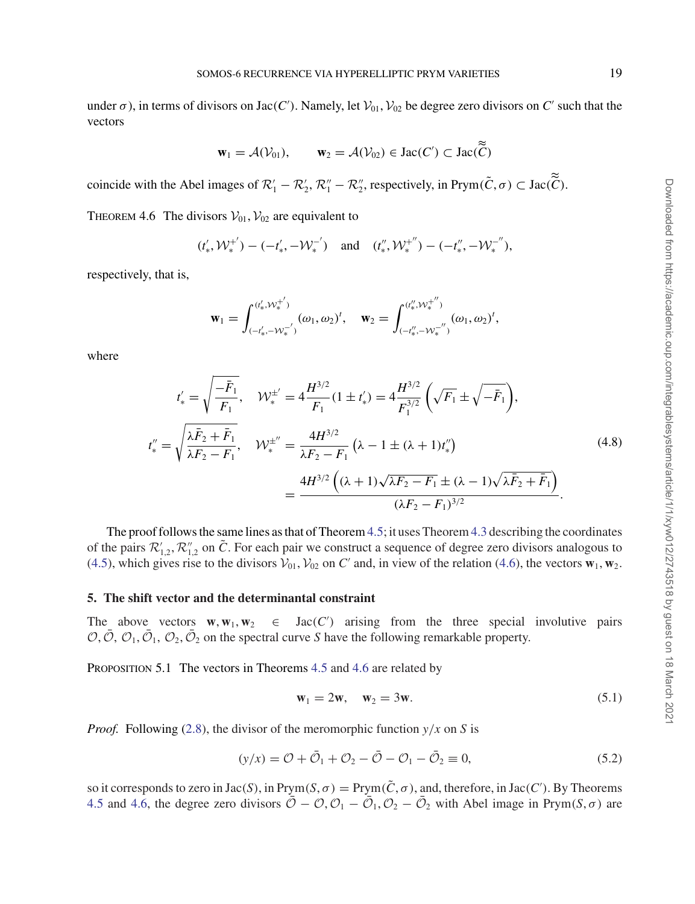under  $\sigma$ ), in terms of divisors on Jac(*C*'). Namely, let  $V_{01}$ ,  $V_{02}$  be degree zero divisors on *C*' such that the vectors

$$
\mathbf{w}_1 = \mathcal{A}(\mathcal{V}_{01}), \qquad \mathbf{w}_2 = \mathcal{A}(\mathcal{V}_{02}) \in \text{Jac}(C') \subset \text{Jac}(\tilde{C})
$$

coincide with the Abel images of  $\mathcal{R}'_1 - \mathcal{R}'_2$ ,  $\mathcal{R}''_1 - \mathcal{R}''_2$ , respectively, in Prym( $\tilde{C}$ ,  $\sigma$ )  $\subset$  Jac( $\tilde{C}$ ).

THEOREM 4.6 The divisors  $V_{01}$ ,  $V_{02}$  are equivalent to

$$
(t'_{*},\mathcal{W}^{+'}_{*})-(-t'_{*},-\mathcal{W}^{-'}_{*}) \quad \text{and} \quad (t''_{*},\mathcal{W}^{+''}_{*})-(-t''_{*},-\mathcal{W}^{-''}_{*}),
$$

respectively, that is,

$$
\mathbf{w}_1 = \int_{(-t_*', -\mathcal{W}_*^{-} )}^{(t_*', \mathcal{W}_*^{+'})} (\omega_1, \omega_2)^t, \quad \mathbf{w}_2 = \int_{(-t_*', -\mathcal{W}_*^{-} )}^{(t_*', \mathcal{W}_*^{+''})} (\omega_1, \omega_2)^t,
$$

where

$$
t'_{*} = \sqrt{\frac{-\bar{F}_{1}}{F_{1}}}, \quad \mathcal{W}_{*}^{\pm'} = 4\frac{H^{3/2}}{F_{1}}(1 \pm t'_{*}) = 4\frac{H^{3/2}}{F_{1}^{3/2}}\left(\sqrt{F_{1}} \pm \sqrt{-\bar{F}_{1}}\right),
$$
  

$$
t''_{*} = \sqrt{\frac{\lambda \bar{F}_{2} + \bar{F}_{1}}{\lambda F_{2} - F_{1}}}, \quad \mathcal{W}_{*}^{\pm''} = \frac{4H^{3/2}}{\lambda F_{2} - F_{1}}\left(\lambda - 1 \pm (\lambda + 1)t''_{*}\right)
$$
  

$$
= \frac{4H^{3/2}\left((\lambda + 1)\sqrt{\lambda F_{2} - F_{1}} \pm (\lambda - 1)\sqrt{\lambda \bar{F}_{2} + \bar{F}_{1}}\right)}{(\lambda F_{2} - F_{1})^{3/2}}.
$$
(4.8)

The proof follows the same lines as that of Theorem 4.5; it uses Theorem 4.3 describing the coordinates of the pairs  $\mathcal{R}'_{1,2}, \mathcal{R}''_{1,2}$  on  $\tilde{C}$ . For each pair we construct a sequence of degree zero divisors analogous to (4.5), which gives rise to the divisors  $V_{01}$ ,  $V_{02}$  on *C'* and, in view of the relation (4.6), the vectors  $\mathbf{w}_1$ ,  $\mathbf{w}_2$ .

#### **5. The shift vector and the determinantal constraint**

The above vectors  $\mathbf{w}, \mathbf{w}_1, \mathbf{w}_2$  $\in$  Jac(C') arising from the three special involutive pairs  $\mathcal{O}, \bar{\mathcal{O}}, \mathcal{O}_1, \bar{\mathcal{O}}_1, \mathcal{O}_2, \bar{\mathcal{O}}_2$  on the spectral curve *S* have the following remarkable property.

PROPOSITION 5.1 The vectors in Theorems 4.5 and 4.6 are related by

$$
w_1 = 2w, \quad w_2 = 3w. \tag{5.1}
$$

*Proof.* Following (2.8), the divisor of the meromorphic function  $y/x$  on *S* is

$$
(y/x) = \mathcal{O} + \bar{\mathcal{O}}_1 + \mathcal{O}_2 - \bar{\mathcal{O}} - \mathcal{O}_1 - \bar{\mathcal{O}}_2 \equiv 0,
$$
\n
$$
(5.2)
$$

so it corresponds to zero in  $Jac(S)$ , in  $Prym(S, \sigma) = Prym(\tilde{C}, \sigma)$ , and, therefore, in  $Jac(C')$ . By Theorems 4.5 and 4.6, the degree zero divisors  $\overline{O} - O$ ,  $O_1 - \overline{O}_1$ ,  $O_2 - \overline{O}_2$  with Abel image in Prym(*S*,  $\sigma$ ) are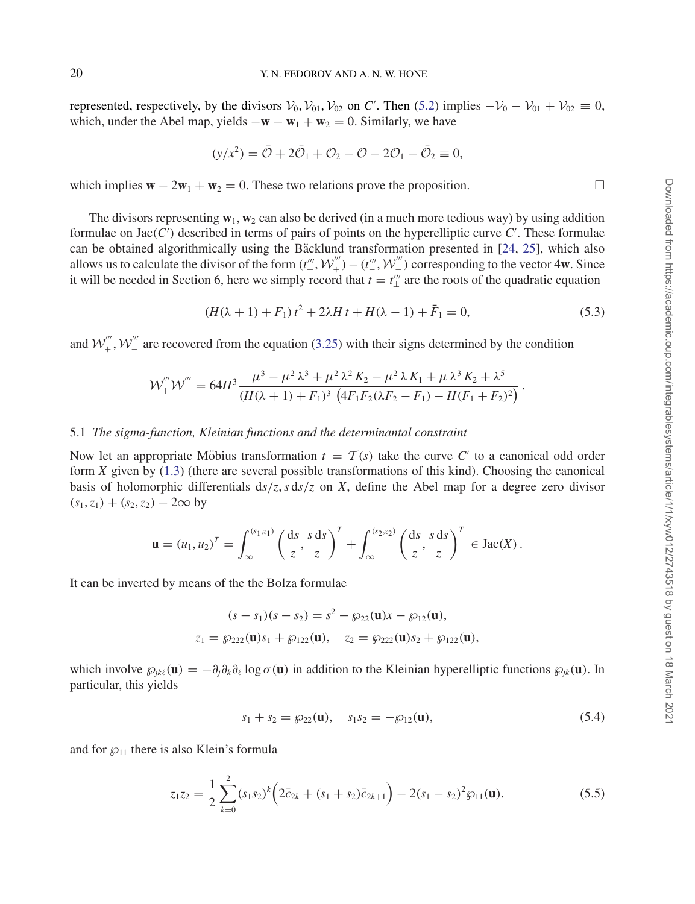represented, respectively, by the divisors  $V_0$ ,  $V_{01}$ ,  $V_{02}$  on *C'*. Then (5.2) implies  $-V_0 - V_{01} + V_{02} \equiv 0$ , which, under the Abel map, yields  $-\mathbf{w} - \mathbf{w}_1 + \mathbf{w}_2 = 0$ . Similarly, we have

$$
(y/x^2) = \bar{O} + 2\bar{O}_1 + O_2 - O - 2O_1 - \bar{O}_2 \equiv 0,
$$

which implies  $\mathbf{w} - 2\mathbf{w}_1 + \mathbf{w}_2 = 0$ . These two relations prove the proposition.  $\Box$ 

The divisors representing  $\mathbf{w}_1, \mathbf{w}_2$  can also be derived (in a much more tedious way) by using addition formulae on Jac(*C* ) described in terms of pairs of points on the hyperelliptic curve *C* . These formulae can be obtained algorithmically using the Bäcklund transformation presented in  $[24, 25]$ , which also allows us to calculate the divisor of the form  $(t''_+, \mathcal{W}'''_+) - (t'''_-, \mathcal{W}'''_-)$  corresponding to the vector 4w. Since it will be needed in Section 6, here we simply record that  $t = t''_+$  are the roots of the quadratic equation

$$
(H(\lambda + 1) + F_1) t^2 + 2\lambda H t + H(\lambda - 1) + \bar{F}_1 = 0,
$$
\n(5.3)

and  $W''_+$ ,  $W''_-$  are recovered from the equation (3.25) with their signs determined by the condition

$$
\mathcal{W}^{'''}_{+}\mathcal{W}^{'''}_{-}=64H^3\frac{\mu^3-\mu^2\lambda^3+\mu^2\lambda^2K_2-\mu^2\lambda K_1+\mu\lambda^3 K_2+\lambda^5}{(H(\lambda+1)+F_1)^3\left(4F_1F_2(\lambda F_2-F_1)-H(F_1+F_2)^2\right)}.
$$

#### 5.1 *The sigma-function, Kleinian functions and the determinantal constraint*

Now let an appropriate Möbius transformation  $t = \mathcal{T}(s)$  take the curve C' to a canonical odd order form *X* given by (1.3) (there are several possible transformations of this kind). Choosing the canonical basis of holomorphic differentials  $ds/z$ ,  $s ds/z$  on *X*, define the Abel map for a degree zero divisor  $(s_1, z_1) + (s_2, z_2) - 2\infty$  by

$$
\mathbf{u} = (u_1, u_2)^T = \int_{\infty}^{(s_1, z_1)} \left(\frac{\mathrm{d}s}{z}, \frac{s \, \mathrm{d}s}{z}\right)^T + \int_{\infty}^{(s_2, z_2)} \left(\frac{\mathrm{d}s}{z}, \frac{s \, \mathrm{d}s}{z}\right)^T \in \mathrm{Jac}(X) \, .
$$

It can be inverted by means of the the Bolza formulae

$$
(s - s_1)(s - s_2) = s^2 - \wp_{22}(\mathbf{u})x - \wp_{12}(\mathbf{u}),
$$
  
\n
$$
z_1 = \wp_{222}(\mathbf{u})s_1 + \wp_{122}(\mathbf{u}), \quad z_2 = \wp_{222}(\mathbf{u})s_2 + \wp_{122}(\mathbf{u}),
$$

which involve  $\wp_{ik}(u) = -\partial_i \partial_k \partial_j \log \sigma(u)$  in addition to the Kleinian hyperelliptic functions  $\wp_{ik}(u)$ . In particular, this yields

$$
s_1 + s_2 = \wp_{22}(\mathbf{u}), \quad s_1 s_2 = -\wp_{12}(\mathbf{u}), \tag{5.4}
$$

and for  $\wp_{11}$  there is also Klein's formula

$$
z_1 z_2 = \frac{1}{2} \sum_{k=0}^{2} (s_1 s_2)^k \left( 2 \bar{c}_{2k} + (s_1 + s_2) \bar{c}_{2k+1} \right) - 2(s_1 - s_2)^2 \wp_{11}(\mathbf{u}). \tag{5.5}
$$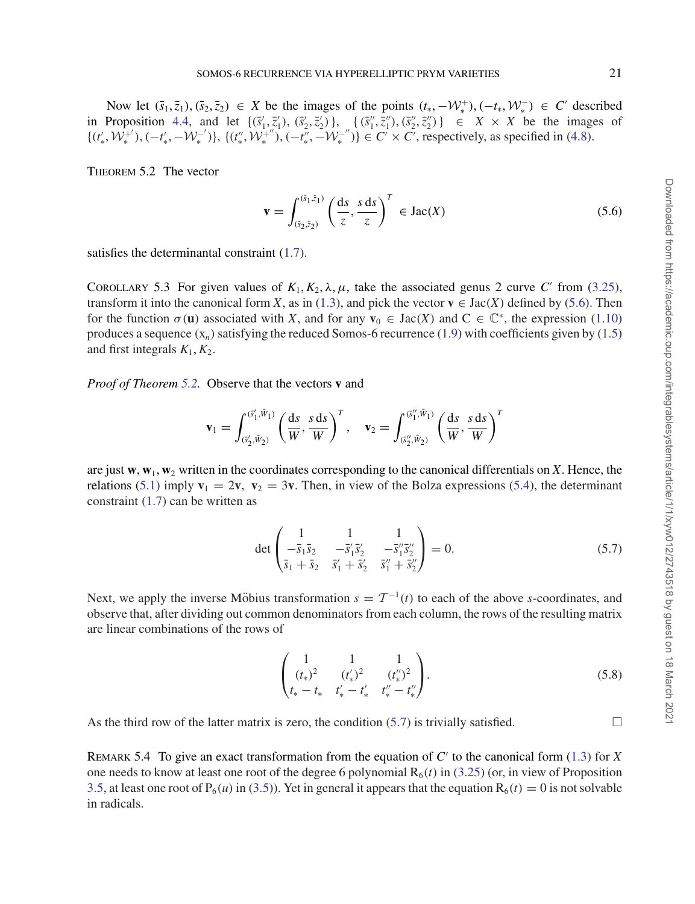Now let  $(\bar{s}_1, \bar{z}_1), (\bar{s}_2, \bar{z}_2) \in X$  be the images of the points  $(t_*, -\mathcal{W}_*^+), (-t_*, \mathcal{W}_*^-) \in C'$  described in Proposition 4.4, and let  $\{(\bar{s}'_1, \bar{z}'_1), (\bar{s}'_2, \bar{z}'_2)\}, \{(\bar{s}''_1, \bar{z}''_1), (\bar{s}''_2, \bar{z}''_2)\}\in X \times X$  be the images of  $\{(t'_*, \mathcal{W}_*^{+'}), (-t'_*, -\mathcal{W}_*^{-'}), \{(t''_*, \mathcal{W}_*^{+'}), (-t''_*, -\mathcal{W}_*^{-''})\} \in C' \times C'$ , respectively, as specified in (4.8).

Theorem 5.2 The vector

$$
\mathbf{v} = \int_{(\bar{s}_2, \bar{z}_2)}^{(\bar{s}_1, \bar{z}_1)} \left(\frac{\mathrm{d}s}{z}, \frac{s \, \mathrm{d}s}{z}\right)^T \in \text{Jac}(X) \tag{5.6}
$$

satisfies the determinantal constraint (1.7).

COROLLARY 5.3 For given values of  $K_1, K_2, \lambda, \mu$ , take the associated genus 2 curve *C'* from (3.25), transform it into the canonical form *X*, as in (1.3), and pick the vector  $\mathbf{v} \in \text{Jac}(X)$  defined by (5.6). Then for the function  $\sigma(\mathbf{u})$  associated with *X*, and for any  $\mathbf{v}_0 \in \text{Jac}(X)$  and  $C \in \mathbb{C}^*$ , the expression (1.10) produces a sequence  $(x_n)$  satisfying the reduced Somos-6 recurrence (1.9) with coefficients given by (1.5) and first integrals  $K_1, K_2$ .

*Proof of Theorem 5.2.* Observe that the vectors **v** and

$$
\mathbf{v}_1 = \int_{(\vec{s}'_1, \vec{W}_1)}^{(\vec{s}'_1, \vec{W}_1)} \left(\frac{\mathrm{d}s}{W}, \frac{s \, \mathrm{d}s}{W}\right)^T, \quad \mathbf{v}_2 = \int_{(\vec{s}'_2, \vec{W}_2)}^{(\vec{s}'_1, \vec{W}_1)} \left(\frac{\mathrm{d}s}{W}, \frac{s \, \mathrm{d}s}{W}\right)^T
$$

are just  $\mathbf{w}, \mathbf{w}_1, \mathbf{w}_2$  written in the coordinates corresponding to the canonical differentials on *X*. Hence, the relations (5.1) imply  $\mathbf{v}_1 = 2\mathbf{v}$ ,  $\mathbf{v}_2 = 3\mathbf{v}$ . Then, in view of the Bolza expressions (5.4), the determinant constraint (1.7) can be written as

$$
\det\begin{pmatrix} 1 & 1 & 1 \\ -\bar{s}_1 \bar{s}_2 & -\bar{s}_1' \bar{s}_2' & -\bar{s}_1'' \bar{s}_2'' \\ \bar{s}_1 + \bar{s}_2 & \bar{s}_1' + \bar{s}_2' & \bar{s}_1'' + \bar{s}_2'' \end{pmatrix} = 0.
$$
 (5.7)

Next, we apply the inverse Möbius transformation  $s = T^{-1}(t)$  to each of the above *s*-coordinates, and observe that, after dividing out common denominators from each column, the rows of the resulting matrix are linear combinations of the rows of

$$
\begin{pmatrix} 1 & 1 & 1 \ (t_*)^2 & (t'_*)^2 & (t''_*)^2 \ t_* - t_* & t'_* - t'_* & t''_* - t''_* \end{pmatrix}.
$$
 (5.8)

As the third row of the latter matrix is zero, the condition  $(5.7)$  is trivially satisfied.

REMARK 5.4 To give an exact transformation from the equation of  $C'$  to the canonical form (1.3) for *X* one needs to know at least one root of the degree 6 polynomial  $R_6(t)$  in (3.25) (or, in view of Proposition 3.5, at least one root of P<sub>6</sub>(*u*) in (3.5)). Yet in general it appears that the equation R<sub>6</sub>(*t*) = 0 is not solvable in radicals.

 $\Box$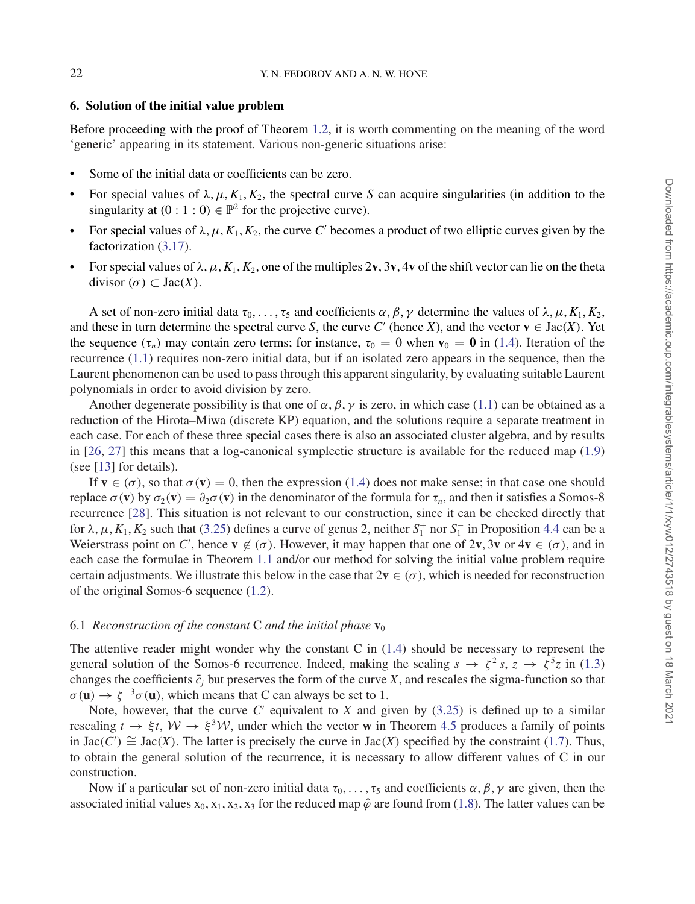#### **6. Solution of the initial value problem**

Before proceeding with the proof of Theorem 1.2, it is worth commenting on the meaning of the word 'generic' appearing in its statement. Various non-generic situations arise:

- Some of the initial data or coefficients can be zero.
- For special values of  $\lambda, \mu, K_1, K_2$ , the spectral curve *S* can acquire singularities (in addition to the singularity at  $(0:1:0) \in \mathbb{P}^2$  for the projective curve).
- For special values of  $\lambda, \mu, K_1, K_2$ , the curve *C'* becomes a product of two elliptic curves given by the factorization (3.17).
- For special values of  $\lambda, \mu, K_1, K_2$ , one of the multiples  $2v$ ,  $3v$ ,  $4v$  of the shift vector can lie on the theta divisor (*σ*) ⊂ Jac(*X*).

A set of non-zero initial data  $\tau_0, \ldots, \tau_5$  and coefficients  $\alpha, \beta, \gamma$  determine the values of  $\lambda, \mu, K_1, K_2$ , and these in turn determine the spectral curve *S*, the curve *C'* (hence *X*), and the vector  $\mathbf{v} \in \text{Jac}(X)$ . Yet the sequence  $(\tau_n)$  may contain zero terms; for instance,  $\tau_0 = 0$  when  $\mathbf{v}_0 = \mathbf{0}$  in (1.4). Iteration of the recurrence (1.1) requires non-zero initial data, but if an isolated zero appears in the sequence, then the Laurent phenomenon can be used to pass through this apparent singularity, by evaluating suitable Laurent polynomials in order to avoid division by zero.

Another degenerate possibility is that one of  $\alpha$ ,  $\beta$ ,  $\gamma$  is zero, in which case (1.1) can be obtained as a reduction of the Hirota–Miwa (discrete KP) equation, and the solutions require a separate treatment in each case. For each of these three special cases there is also an associated cluster algebra, and by results in [26, 27] this means that a log-canonical symplectic structure is available for the reduced map (1.9) (see [13] for details).

If  $\mathbf{v} \in (\sigma)$ , so that  $\sigma(\mathbf{v}) = 0$ , then the expression (1.4) does not make sense; in that case one should replace σ (**v**) by  $\sigma_2$ (**v**) =  $\partial_2 \sigma$  (**v**) in the denominator of the formula for τ<sub>*n*</sub>, and then it satisfies a Somos-8 recurrence [28]. This situation is not relevant to our construction, since it can be checked directly that for  $\lambda$ ,  $\mu$ ,  $K_1$ ,  $K_2$  such that (3.25) defines a curve of genus 2, neither  $S_1^+$  nor  $S_1^-$  in Proposition 4.4 can be a Weierstrass point on *C'*, hence  $\mathbf{v} \notin (\sigma)$ . However, it may happen that one of  $2\mathbf{v}$ ,  $3\mathbf{v}$  or  $4\mathbf{v} \in (\sigma)$ , and in each case the formulae in Theorem 1.1 and/or our method for solving the initial value problem require certain adjustments. We illustrate this below in the case that  $2v \in (\sigma)$ , which is needed for reconstruction of the original Somos-6 sequence (1.2).

#### 6.1 *Reconstruction of the constant* C *and the initial phase*  $\mathbf{v}_0$

The attentive reader might wonder why the constant C in  $(1.4)$  should be necessary to represent the general solution of the Somos-6 recurrence. Indeed, making the scaling  $s \to \zeta^2 s$ ,  $z \to \zeta^5 z$  in (1.3) changes the coefficients  $\bar{c}_i$  but preserves the form of the curve *X*, and rescales the sigma-function so that  $\sigma(\mathbf{u}) \to \zeta^{-3} \sigma(\mathbf{u})$ , which means that C can always be set to 1.

Note, however, that the curve  $C'$  equivalent to  $X$  and given by  $(3.25)$  is defined up to a similar rescaling  $t \to \xi t$ ,  $W \to \xi^3 W$ , under which the vector **w** in Theorem 4.5 produces a family of points in Jac(*C'*)  $\cong$  Jac(*X*). The latter is precisely the curve in Jac(*X*) specified by the constraint (1.7). Thus, to obtain the general solution of the recurrence, it is necessary to allow different values of C in our construction.

Now if a particular set of non-zero initial data  $\tau_0, \ldots, \tau_5$  and coefficients  $\alpha, \beta, \gamma$  are given, then the associated initial values  $x_0$ ,  $x_1$ ,  $x_2$ ,  $x_3$  for the reduced map  $\hat{\varphi}$  are found from (1.8). The latter values can be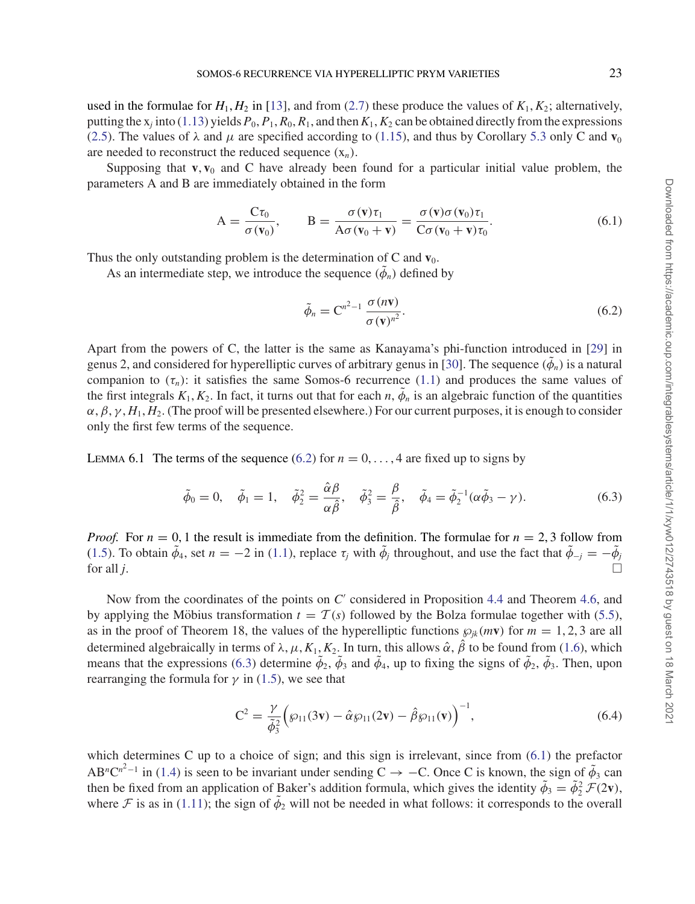used in the formulae for  $H_1, H_2$  in [13], and from (2.7) these produce the values of  $K_1, K_2$ ; alternatively, putting the  $x_j$  into (1.13) yields  $P_0$ ,  $P_1$ ,  $R_0$ ,  $R_1$ , and then  $K_1$ ,  $K_2$  can be obtained directly from the expressions (2.5). The values of  $\lambda$  and  $\mu$  are specified according to (1.15), and thus by Corollary 5.3 only C and  $\mathbf{v}_0$ are needed to reconstruct the reduced sequence (x*n*).

Supposing that  $\bf{v}, \bf{v}_0$  and  $\bf{C}$  have already been found for a particular initial value problem, the parameters A and B are immediately obtained in the form

$$
A = \frac{C\tau_0}{\sigma(\mathbf{v}_0)}, \qquad B = \frac{\sigma(\mathbf{v})\tau_1}{A\sigma(\mathbf{v}_0 + \mathbf{v})} = \frac{\sigma(\mathbf{v})\sigma(\mathbf{v}_0)\tau_1}{C\sigma(\mathbf{v}_0 + \mathbf{v})\tau_0}.
$$
(6.1)

Thus the only outstanding problem is the determination of  $C$  and  $v_0$ .

As an intermediate step, we introduce the sequence  $(\tilde{\phi}_n)$  defined by

$$
\tilde{\phi}_n = \mathbf{C}^{n^2 - 1} \frac{\sigma(n\mathbf{v})}{\sigma(\mathbf{v})^{n^2}}.
$$
\n(6.2)

Apart from the powers of C, the latter is the same as Kanayama's phi-function introduced in [29] in genus 2, and considered for hyperelliptic curves of arbitrary genus in [30]. The sequence  $(\phi_n)$  is a natural companion to  $(\tau_n)$ : it satisfies the same Somos-6 recurrence (1.1) and produces the same values of the first integrals  $K_1, K_2$ . In fact, it turns out that for each *n*,  $\phi_n$  is an algebraic function of the quantities  $\alpha$ ,  $\beta$ ,  $\gamma$ ,  $H_1$ ,  $H_2$ . (The proof will be presented elsewhere.) For our current purposes, it is enough to consider only the first few terms of the sequence.

LEMMA 6.1 The terms of the sequence (6.2) for  $n = 0, \ldots, 4$  are fixed up to signs by

$$
\tilde{\phi}_0 = 0, \quad \tilde{\phi}_1 = 1, \quad \tilde{\phi}_2^2 = \frac{\hat{\alpha}\beta}{\alpha\hat{\beta}}, \quad \tilde{\phi}_3^2 = \frac{\beta}{\hat{\beta}}, \quad \tilde{\phi}_4 = \tilde{\phi}_2^{-1}(\alpha\tilde{\phi}_3 - \gamma). \tag{6.3}
$$

*Proof.* For  $n = 0, 1$  the result is immediate from the definition. The formulae for  $n = 2, 3$  follow from (1.5). To obtain  $\tilde{\phi}_4$ , set  $n = -2$  in (1.1), replace  $\tau_j$  with  $\tilde{\phi}_j$  throughout, and use the fact that  $\tilde{\phi}_{-j} = -\tilde{\phi}_j$ for all *j*.

Now from the coordinates of the points on *C'* considered in Proposition 4.4 and Theorem 4.6, and by applying the Möbius transformation  $t = \mathcal{T}(s)$  followed by the Bolza formulae together with (5.5), as in the proof of Theorem 18, the values of the hyperelliptic functions  $\wp_{ik}(mv)$  for  $m = 1, 2, 3$  are all determined algebraically in terms of  $\lambda$ ,  $\mu$ ,  $K_1$ ,  $K_2$ . In turn, this allows  $\hat{\alpha}$ ,  $\hat{\beta}$  to be found from (1.6), which means that the expressions (6.3) determine  $\phi_2$ ,  $\phi_3$  and  $\phi_4$ , up to fixing the signs of  $\phi_2$ ,  $\phi_3$ . Then, upon rearranging the formula for  $\gamma$  in (1.5), we see that

$$
C^{2} = \frac{\gamma}{\tilde{\phi}_{3}^{2}} \Big(\wp_{11}(3v) - \hat{\alpha}\wp_{11}(2v) - \hat{\beta}\wp_{11}(v)\Big)^{-1},
$$
\n(6.4)

which determines C up to a choice of sign; and this sign is irrelevant, since from  $(6.1)$  the prefactor AB<sup>n</sup>C<sup>n<sup>2</sup>−1</sup> in (1.4) is seen to be invariant under sending C  $\rightarrow$  −C. Once C is known, the sign of  $\tilde{\phi}_3$  can then be fixed from an application of Baker's addition formula, which gives the identity  $\tilde{\phi}_3 = \tilde{\phi}_2^2 \mathcal{F}(2\mathbf{v})$ , where F is as in (1.11); the sign of  $\tilde{\phi}_2$  will not be needed in what follows: it corresponds to the overall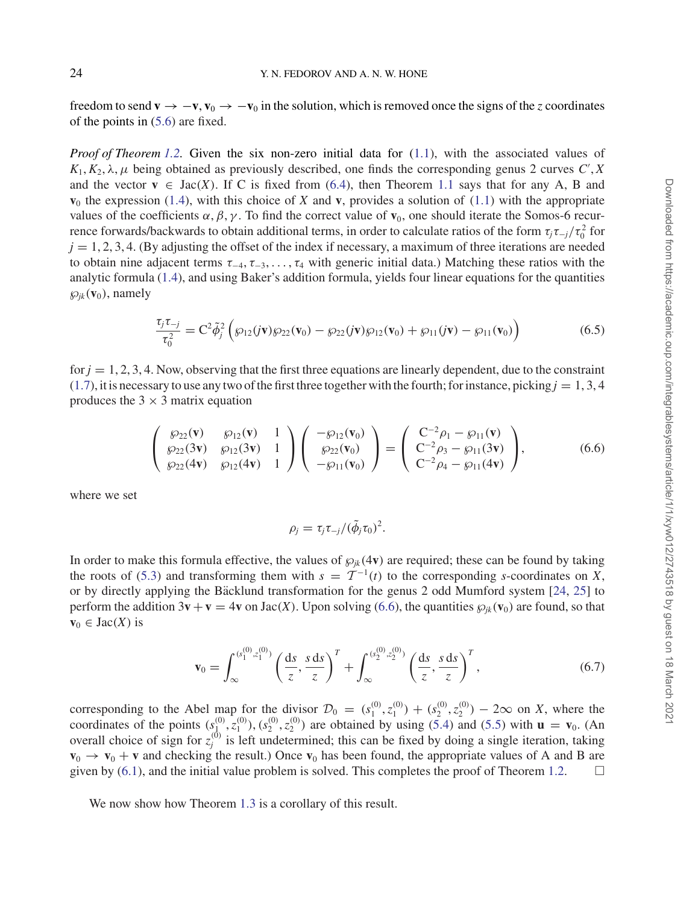freedom to send  $\mathbf{v} \to -\mathbf{v}, \mathbf{v}_0 \to -\mathbf{v}_0$  in the solution, which is removed once the signs of the *z* coordinates of the points in (5.6) are fixed.

*Proof of Theorem 1.2.* Given the six non-zero initial data for (1.1), with the associated values of  $K_1, K_2, \lambda, \mu$  being obtained as previously described, one finds the corresponding genus 2 curves *C*', *X* and the vector  $\mathbf{v} \in \text{Jac}(X)$ . If C is fixed from (6.4), then Theorem 1.1 says that for any A, B and  $\mathbf{v}_0$  the expression (1.4), with this choice of *X* and **v**, provides a solution of (1.1) with the appropriate values of the coefficients  $\alpha$ ,  $\beta$ ,  $\gamma$ . To find the correct value of **v**<sub>0</sub>, one should iterate the Somos-6 recurrence forwards/backwards to obtain additional terms, in order to calculate ratios of the form  $\tau_j \tau_{-j}/\tau_0^2$  for  $j = 1, 2, 3, 4$ . (By adjusting the offset of the index if necessary, a maximum of three iterations are needed to obtain nine adjacent terms  $\tau_{-4}, \tau_{-3}, \ldots, \tau_4$  with generic initial data.) Matching these ratios with the analytic formula (1.4), and using Baker's addition formula, yields four linear equations for the quantities  $\wp_{ik}(\mathbf{v}_0)$ , namely

$$
\frac{\tau_j \tau_{-j}}{\tau_0^2} = C^2 \tilde{\phi}_j^2 \left( \wp_{12}(j\mathbf{v}) \wp_{22}(\mathbf{v}_0) - \wp_{22}(j\mathbf{v}) \wp_{12}(\mathbf{v}_0) + \wp_{11}(j\mathbf{v}) - \wp_{11}(\mathbf{v}_0) \right)
$$
(6.5)

for  $j = 1, 2, 3, 4$ . Now, observing that the first three equations are linearly dependent, due to the constraint  $(1.7)$ , it is necessary to use any two of the first three together with the fourth; for instance, picking  $j = 1, 3, 4$ produces the  $3 \times 3$  matrix equation

$$
\begin{pmatrix}\n\wp_{22}(\mathbf{v}) & \wp_{12}(\mathbf{v}) & 1 \\
\wp_{22}(\mathbf{3v}) & \wp_{12}(\mathbf{3v}) & 1 \\
\wp_{22}(\mathbf{4v}) & \wp_{12}(\mathbf{4v}) & 1\n\end{pmatrix}\n\begin{pmatrix}\n-\wp_{12}(\mathbf{v}_0) \\
\wp_{22}(\mathbf{v}_0) \\
-\wp_{11}(\mathbf{v}_0)\n\end{pmatrix} = \begin{pmatrix}\nC^{-2}\rho_1 - \wp_{11}(\mathbf{v}) \\
C^{-2}\rho_3 - \wp_{11}(\mathbf{3v}) \\
C^{-2}\rho_4 - \wp_{11}(\mathbf{4v})\n\end{pmatrix},
$$
\n(6.6)

where we set

$$
\rho_j = \tau_j \tau_{-j} / (\tilde{\phi}_j \tau_0)^2.
$$

In order to make this formula effective, the values of  $\wp_{ik}(4v)$  are required; these can be found by taking the roots of (5.3) and transforming them with  $s = \mathcal{T}^{-1}(t)$  to the corresponding *s*-coordinates on *X*, or by directly applying the Bäcklund transformation for the genus 2 odd Mumford system  $[24, 25]$  to perform the addition  $3\mathbf{v} + \mathbf{v} = 4\mathbf{v}$  on Jac(*X*). Upon solving (6.6), the quantities  $\wp_{ik}(\mathbf{v}_0)$  are found, so that  $\mathbf{v}_0 \in \text{Jac}(X)$  is

$$
\mathbf{v}_0 = \int_{\infty}^{(s_1^{(0)}, z_1^{(0)})} \left(\frac{\mathrm{d}s}{z}, \frac{s \, \mathrm{d}s}{z}\right)^T + \int_{\infty}^{(s_2^{(0)}, z_2^{(0)})} \left(\frac{\mathrm{d}s}{z}, \frac{s \, \mathrm{d}s}{z}\right)^T, \tag{6.7}
$$

corresponding to the Abel map for the divisor  $\mathcal{D}_0 = (s_1^{(0)}, s_1^{(0)}) + (s_2^{(0)}, s_2^{(0)}) - 2\infty$  on *X*, where the coordinates of the points  $(s_1^{(0)}, \bar{z}_1^{(0)}), (s_2^{(0)}, z_2^{(0)})$  are obtained by using (5.4) and (5.5) with  $\mathbf{u} = \mathbf{v}_0$ . (An overall choice of sign for  $z_j^{(0)}$  is left undetermined; this can be fixed by doing a single iteration, taking  $\mathbf{v}_0 \rightarrow \mathbf{v}_0 + \mathbf{v}$  and checking the result.) Once  $\mathbf{v}_0$  has been found, the appropriate values of A and B are given by  $(6.1)$ , and the initial value problem is solved. This completes the proof of Theorem 1.2.  $\Box$ 

We now show how Theorem 1.3 is a corollary of this result.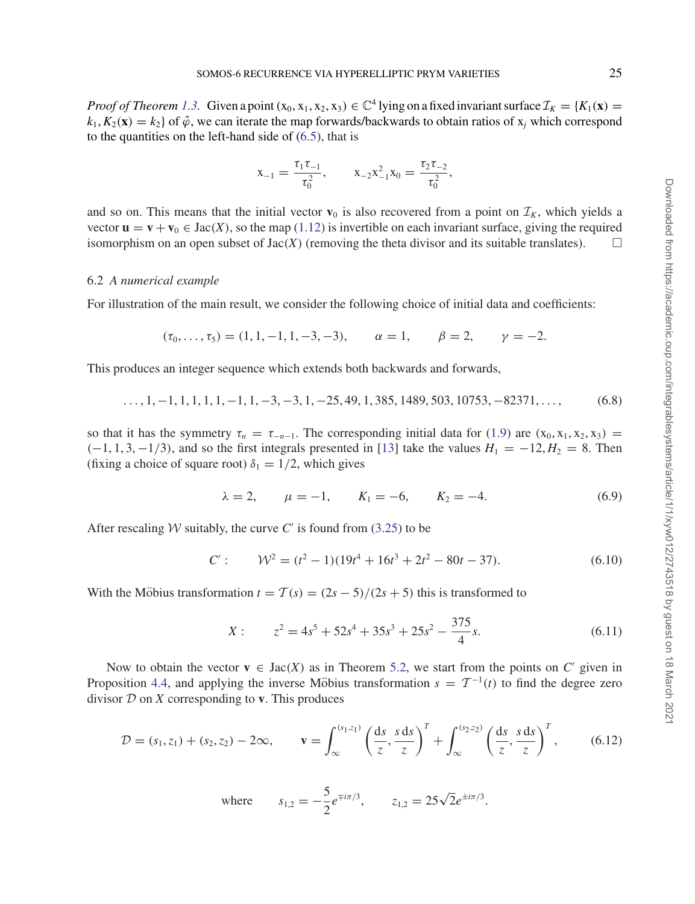*Proof of Theorem 1.3.* Given a point  $(x_0, x_1, x_2, x_3) \in \mathbb{C}^4$  lying on a fixed invariant surface  $\mathcal{I}_K = \{K_1(\mathbf{x}) =$  $k_1, K_2(\mathbf{x}) = k_2$  of  $\hat{\varphi}$ , we can iterate the map forwards/backwards to obtain ratios of  $x_i$  which correspond to the quantities on the left-hand side of (6.5), that is

$$
x_{-1} = \frac{\tau_1 \tau_{-1}}{\tau_0^2}, \qquad x_{-2} x_{-1}^2 x_0 = \frac{\tau_2 \tau_{-2}}{\tau_0^2},
$$

and so on. This means that the initial vector  $\mathbf{v}_0$  is also recovered from a point on  $\mathcal{I}_K$ , which yields a vector  $\mathbf{u} = \mathbf{v} + \mathbf{v}_0 \in \text{Jac}(X)$ , so the map (1.12) is invertible on each invariant surface, giving the required isomorphism on an open subset of  $Jac(X)$  (removing the theta divisor and its suitable translates).  $\Box$ 

#### 6.2 *A numerical example*

For illustration of the main result, we consider the following choice of initial data and coefficients:

$$
(\tau_0, \ldots, \tau_5) = (1, 1, -1, 1, -3, -3), \quad \alpha = 1, \quad \beta = 2, \quad \gamma = -2.
$$

This produces an integer sequence which extends both backwards and forwards,

$$
\ldots, 1, -1, 1, 1, 1, 1, -1, 1, -3, -3, 1, -25, 49, 1, 385, 1489, 503, 10753, -82371, \ldots,\tag{6.8}
$$

so that it has the symmetry  $\tau_n = \tau_{-n-1}$ . The corresponding initial data for (1.9) are (x<sub>0</sub>, x<sub>1</sub>, x<sub>2</sub>, x<sub>3</sub>) =  $(-1, 1, 3, -1/3)$ , and so the first integrals presented in [13] take the values  $H_1 = -12, H_2 = 8$ . Then (fixing a choice of square root)  $\delta_1 = 1/2$ , which gives

$$
\lambda = 2, \qquad \mu = -1, \qquad K_1 = -6, \qquad K_2 = -4.
$$
\n(6.9)

After rescaling *W* suitably, the curve *C'* is found from  $(3.25)$  to be

$$
C': \qquad \mathcal{W}^2 = (t^2 - 1)(19t^4 + 16t^3 + 2t^2 - 80t - 37). \tag{6.10}
$$

With the Möbius transformation  $t = T(s) = (2s - 5)/(2s + 5)$  this is transformed to

$$
X: \t z^2 = 4s^5 + 52s^4 + 35s^3 + 25s^2 - \frac{375}{4}s.
$$
\t(6.11)

Now to obtain the vector  $\mathbf{v} \in \text{Jac}(X)$  as in Theorem 5.2, we start from the points on *C'* given in Proposition 4.4, and applying the inverse Möbius transformation  $s = \mathcal{T}^{-1}(t)$  to find the degree zero divisor  $D$  on  $X$  corresponding to  $v$ . This produces

$$
\mathcal{D} = (s_1, z_1) + (s_2, z_2) - 2\infty, \qquad \mathbf{v} = \int_{\infty}^{(s_1, z_1)} \left(\frac{\mathrm{d}s}{z}, \frac{s \, \mathrm{d}s}{z}\right)^T + \int_{\infty}^{(s_2, z_2)} \left(\frac{\mathrm{d}s}{z}, \frac{s \, \mathrm{d}s}{z}\right)^T, \tag{6.12}
$$

where 
$$
s_{1,2} = -\frac{5}{2}e^{\mp i\pi/3}
$$
,  $z_{1,2} = 25\sqrt{2}e^{\pm i\pi/3}$ .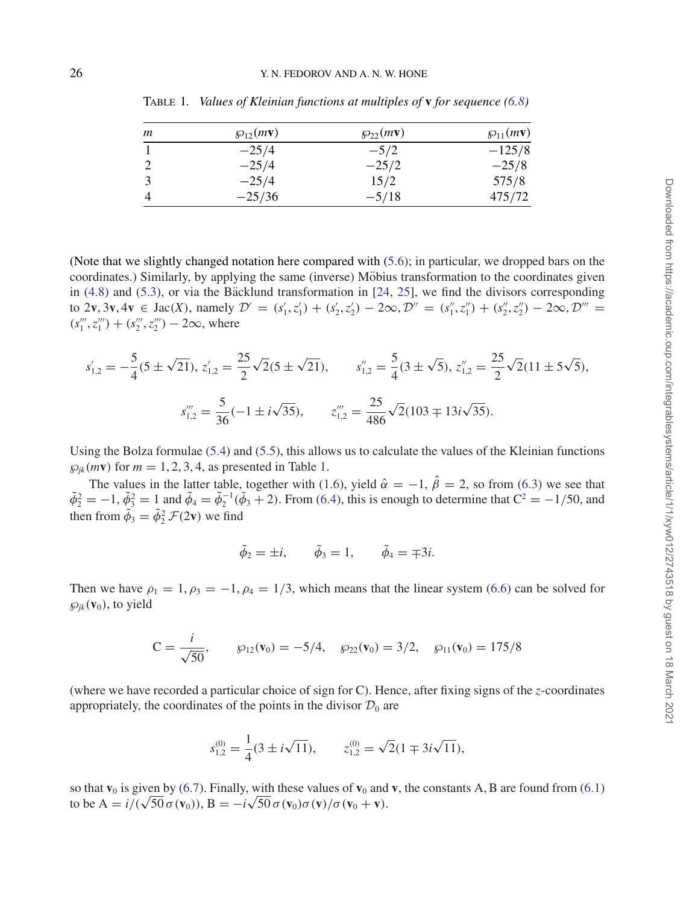| m | $\mathcal{D}_{12}(m\mathbf{v})$ | $\mathcal{D}_{22}(m\mathbf{v})$ | $\wp_{11}(m\mathbf{v})$ |
|---|---------------------------------|---------------------------------|-------------------------|
|   | $-25/4$                         | $-5/2$                          | $-125/8$                |
|   | $-25/4$                         | $-25/2$                         | $-25/8$                 |
|   | $-25/4$                         | 15/2                            | 575/8                   |
|   | $-25/36$                        | $-5/18$                         | 475/72                  |

Table 1*. Values of Kleinian functions at multiples of* **v** *for sequence (6.8)*

(Note that we slightly changed notation here compared with (5.6); in particular, we dropped bars on the coordinates.) Similarly, by applying the same (inverse) Möbius transformation to the coordinates given in  $(4.8)$  and  $(5.3)$ , or via the Backlund transformation in  $[24, 25]$ , we find the divisors corresponding to 2**v**, 3**v**, 4**v** ∈ Jac(*X*), namely  $\mathcal{D}' = (s'_1, z'_1) + (s'_2, z'_2) - 2\infty, \mathcal{D}'' = (s''_1, z''_1) + (s''_2, z''_2) - 2\infty, \mathcal{D}''' =$  $(s''_1, z''_1) + (s''_2, z''_2) - 2\infty$ , where

$$
s'_{1,2} = -\frac{5}{4}(5 \pm \sqrt{21}), \ z'_{1,2} = \frac{25}{2}\sqrt{2}(5 \pm \sqrt{21}), \qquad s''_{1,2} = \frac{5}{4}(3 \pm \sqrt{5}), \ z''_{1,2} = \frac{25}{2}\sqrt{2}(11 \pm 5\sqrt{5}),
$$

$$
s'''_{1,2} = \frac{5}{36}(-1 \pm i\sqrt{35}), \qquad z'''_{1,2} = \frac{25}{486}\sqrt{2}(103 \mp 13i\sqrt{35}).
$$

Using the Bolza formulae (5.4) and (5.5), this allows us to calculate the values of the Kleinian functions  $\wp_{ik}(m\mathbf{v})$  for  $m = 1, 2, 3, 4$ , as presented in Table 1.

The values in the latter table, together with (1.6), yield  $\hat{\alpha} = -1$ ,  $\hat{\beta} = 2$ , so from (6.3) we see that  $\tilde{\phi}_2^2 = -1$ ,  $\tilde{\phi}_3^2 = 1$  and  $\tilde{\phi}_4 = \tilde{\phi}_2^{-1}(\tilde{\phi}_3 + 2)$ . From (6.4), this is enough to determine that  $C^2 = -1/50$ , and then from  $\tilde{\phi}_3 = \tilde{\phi}_2^2 \mathcal{F}(2\mathbf{v})$  we find

$$
\tilde{\phi}_2 = \pm i, \qquad \tilde{\phi}_3 = 1, \qquad \tilde{\phi}_4 = \mp 3i.
$$

Then we have  $\rho_1 = 1, \rho_3 = -1, \rho_4 = 1/3$ , which means that the linear system (6.6) can be solved for  $\wp_{ik}(\mathbf{v}_0)$ , to yield

$$
C = \frac{i}{\sqrt{50}}, \qquad \wp_{12}(\mathbf{v}_0) = -5/4, \quad \wp_{22}(\mathbf{v}_0) = 3/2, \quad \wp_{11}(\mathbf{v}_0) = 175/8
$$

(where we have recorded a particular choice of sign for C). Hence, after fixing signs of the *z*-coordinates appropriately, the coordinates of the points in the divisor  $\mathcal{D}_0$  are

$$
s_{1,2}^{(0)} = \frac{1}{4}(3 \pm i\sqrt{11}), \qquad z_{1,2}^{(0)} = \sqrt{2}(1 \mp 3i\sqrt{11}),
$$

so that  $\mathbf{v}_0$  is given by (6.7). Finally, with these values of  $\mathbf{v}_0$  and  $\mathbf{v}$ , the constants A, B are found from (6.1) so that  $\mathbf{v}_0$  is given by (6.7). Finally, with these values of  $\mathbf{v}_0$  and to be  $A = i/(\sqrt{50} \sigma(\mathbf{v}_0))$ ,  $B = -i\sqrt{50} \sigma(\mathbf{v}_0) \sigma(\mathbf{v})/\sigma(\mathbf{v}_0 + \mathbf{v})$ .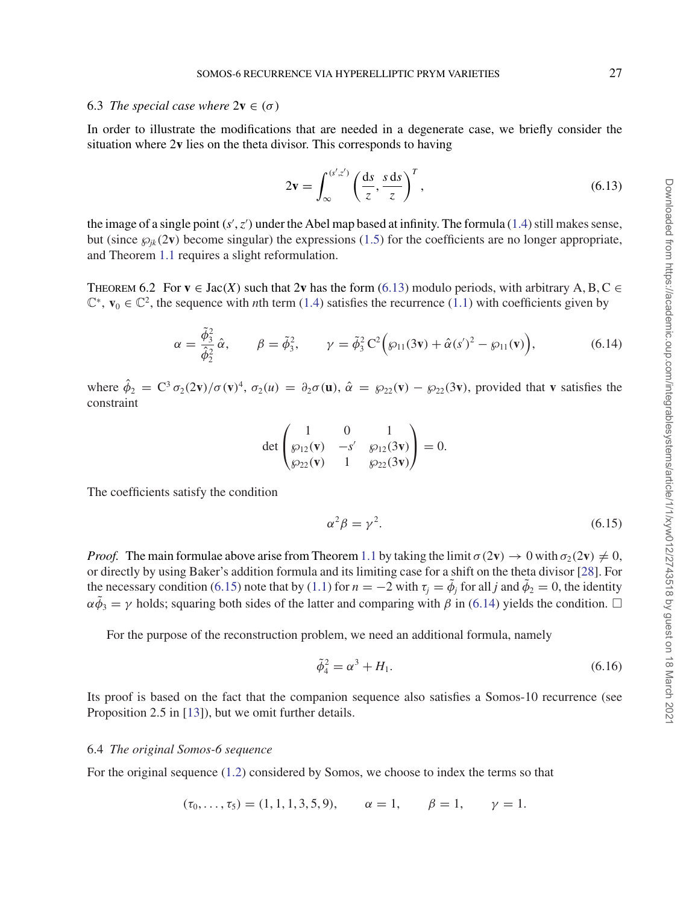#### 6.3 *The special case where*  $2v \in (\sigma)$

In order to illustrate the modifications that are needed in a degenerate case, we briefly consider the situation where 2**v** lies on the theta divisor. This corresponds to having

$$
2\mathbf{v} = \int_{\infty}^{(s',z')} \left(\frac{\mathrm{d}s}{z}, \frac{s \,\mathrm{d}s}{z}\right)^T, \tag{6.13}
$$

the image of a single point  $(s', z')$  under the Abel map based at infinity. The formula (1.4) still makes sense, but (since  $\wp_{ik}(2v)$  become singular) the expressions (1.5) for the coefficients are no longer appropriate, and Theorem 1.1 requires a slight reformulation.

THEOREM 6.2 For **v**  $\in$  Jac(*X*) such that 2**v** has the form (6.13) modulo periods, with arbitrary A, B, C  $\in$  $\mathbb{C}^*$ , **v**<sub>0</sub>  $\in \mathbb{C}^2$ , the sequence with *n*th term (1.4) satisfies the recurrence (1.1) with coefficients given by

$$
\alpha = \frac{\tilde{\phi}_3^2}{\hat{\phi}_2^2} \hat{\alpha}, \qquad \beta = \tilde{\phi}_3^2, \qquad \gamma = \tilde{\phi}_3^2 C^2 \Big( \wp_{11}(3\mathbf{v}) + \hat{\alpha}(s')^2 - \wp_{11}(\mathbf{v}) \Big), \tag{6.14}
$$

where  $\hat{\phi}_2 = C^3 \sigma_2(2\mathbf{v})/\sigma(\mathbf{v})^4$ ,  $\sigma_2(u) = \partial_2 \sigma(\mathbf{u})$ ,  $\hat{\alpha} = \wp_{22}(\mathbf{v}) - \wp_{22}(3\mathbf{v})$ , provided that **v** satisfies the constraint

$$
\det\begin{pmatrix}1&0&1\\\wp_{12}(\mathbf{v})&-s'&\wp_{12}(3\mathbf{v})\\\wp_{22}(\mathbf{v})&1&\wp_{22}(3\mathbf{v})\end{pmatrix}=0.
$$

The coefficients satisfy the condition

$$
\alpha^2 \beta = \gamma^2. \tag{6.15}
$$

*Proof.* The main formulae above arise from Theorem 1.1 by taking the limit  $\sigma(2\mathbf{v}) \to 0$  with  $\sigma_2(2\mathbf{v}) \neq 0$ , or directly by using Baker's addition formula and its limiting case for a shift on the theta divisor [28]. For the necessary condition (6.15) note that by (1.1) for  $n = -2$  with  $\tau_i = \tilde{\phi}_i$  for all *j* and  $\tilde{\phi}_2 = 0$ , the identity  $\alpha \tilde{\phi}_3 = \gamma$  holds; squaring both sides of the latter and comparing with  $\beta$  in (6.14) yields the condition.  $\Box$ 

For the purpose of the reconstruction problem, we need an additional formula, namely

$$
\tilde{\phi}_4^2 = \alpha^3 + H_1. \tag{6.16}
$$

Its proof is based on the fact that the companion sequence also satisfies a Somos-10 recurrence (see Proposition 2.5 in [13]), but we omit further details.

#### 6.4 *The original Somos-6 sequence*

For the original sequence (1.2) considered by Somos, we choose to index the terms so that

$$
(\tau_0, \ldots, \tau_5) = (1, 1, 1, 3, 5, 9), \quad \alpha = 1, \quad \beta = 1, \quad \gamma = 1.
$$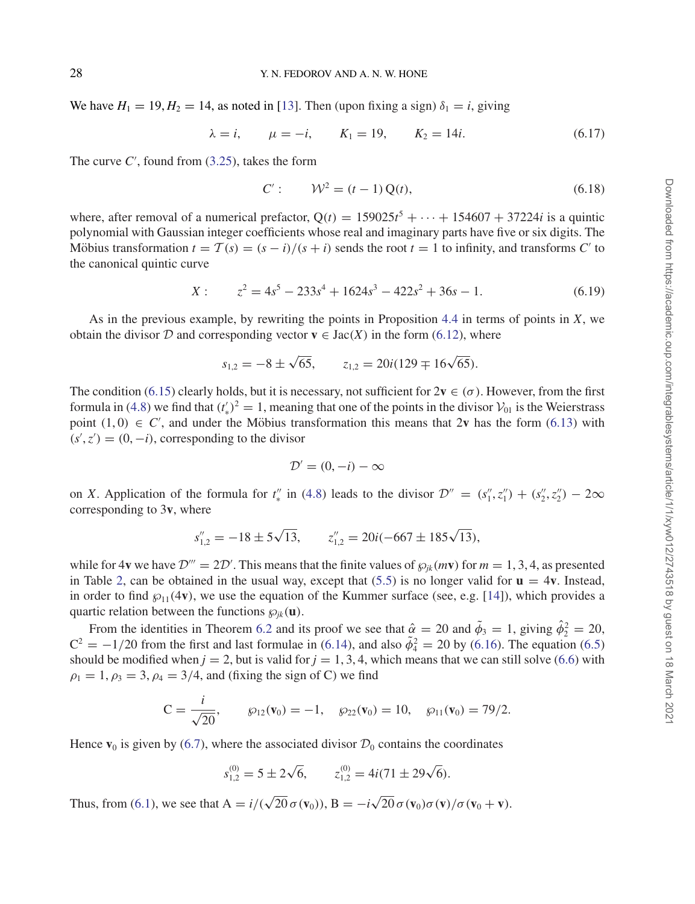We have  $H_1 = 19, H_2 = 14$ , as noted in [13]. Then (upon fixing a sign)  $\delta_1 = i$ , giving

$$
\lambda = i, \qquad \mu = -i, \qquad K_1 = 19, \qquad K_2 = 14i.
$$
\n(6.17)

The curve  $C'$ , found from  $(3.25)$ , takes the form

$$
C': \qquad W^2 = (t-1) Q(t), \tag{6.18}
$$

where, after removal of a numerical prefactor,  $Q(t) = 159025t^5 + \cdots + 154607 + 37224i$  is a quintic polynomial with Gaussian integer coefficients whose real and imaginary parts have five or six digits. The Möbius transformation  $t = T(s) = (s - i)/(s + i)$  sends the root  $t = 1$  to infinity, and transforms *C'* to the canonical quintic curve

$$
X: \t z2 = 4s5 - 233s4 + 1624s3 - 422s2 + 36s - 1.
$$
\t(6.19)

As in the previous example, by rewriting the points in Proposition 4.4 in terms of points in *X*, we obtain the divisor D and corresponding vector  $\mathbf{v} \in \text{Jac}(X)$  in the form (6.12), where

$$
s_{1,2} = -8 \pm \sqrt{65}
$$
,  $z_{1,2} = 20i(129 \mp 16\sqrt{65})$ .

The condition (6.15) clearly holds, but it is necessary, not sufficient for  $2v \in (\sigma)$ . However, from the first formula in (4.8) we find that  $(t'_*)^2 = 1$ , meaning that one of the points in the divisor  $V_{01}$  is the Weierstrass point  $(1, 0) \in C'$ , and under the Möbius transformation this means that 2v has the form  $(6.13)$  with  $(s', z') = (0, -i)$ , corresponding to the divisor

$$
\mathcal{D}' = (0, -i) - \infty
$$

on *X*. Application of the formula for  $t''_*$  in (4.8) leads to the divisor  $\mathcal{D}'' = (s''_1, z''_1) + (s''_2, z''_2) - 2\infty$ corresponding to 3**v**, where

$$
s''_{1,2} = -18 \pm 5\sqrt{13}
$$
,  $z''_{1,2} = 20i(-667 \pm 185\sqrt{13})$ ,

while for 4**v** we have  $\mathcal{D}''' = 2\mathcal{D}'$ . This means that the finite values of  $\wp_{jk}(m\mathbf{v})$  for  $m = 1, 3, 4$ , as presented in Table 2, can be obtained in the usual way, except that  $(5.5)$  is no longer valid for  $\mathbf{u} = 4\mathbf{v}$ . Instead, in order to find  $\mathfrak{g}_{11}(4\mathbf{v})$ , we use the equation of the Kummer surface (see, e.g. [14]), which provides a quartic relation between the functions  $\wp_{ik}(\mathbf{u})$ .

From the identities in Theorem 6.2 and its proof we see that  $\hat{\alpha} = 20$  and  $\tilde{\phi}_3 = 1$ , giving  $\hat{\phi}_2^2 = 20$ ,  $C^2 = -1/20$  from the first and last formulae in (6.14), and also  $\tilde{\phi}_4^2 = 20$  by (6.16). The equation (6.5) should be modified when  $j = 2$ , but is valid for  $j = 1, 3, 4$ , which means that we can still solve (6.6) with  $\rho_1 = 1, \rho_3 = 3, \rho_4 = 3/4$ , and (fixing the sign of C) we find

$$
C = \frac{i}{\sqrt{20}}, \qquad \wp_{12}(\mathbf{v}_0) = -1, \quad \wp_{22}(\mathbf{v}_0) = 10, \quad \wp_{11}(\mathbf{v}_0) = 79/2.
$$

Hence  $\mathbf{v}_0$  is given by (6.7), where the associated divisor  $\mathcal{D}_0$  contains the coordinates

$$
s_{1,2}^{(0)} = 5 \pm 2\sqrt{6}, \qquad z_{1,2}^{(0)} = 4i(71 \pm 29\sqrt{6}).
$$

Thus, from (6.1), we see that  $A = i/(\sqrt{20}\sigma(\mathbf{v}_0))$ ,  $B = -i\sqrt{20}\sigma(\mathbf{v}_0)\sigma(\mathbf{v})/\sigma(\mathbf{v}_0 + \mathbf{v})$ .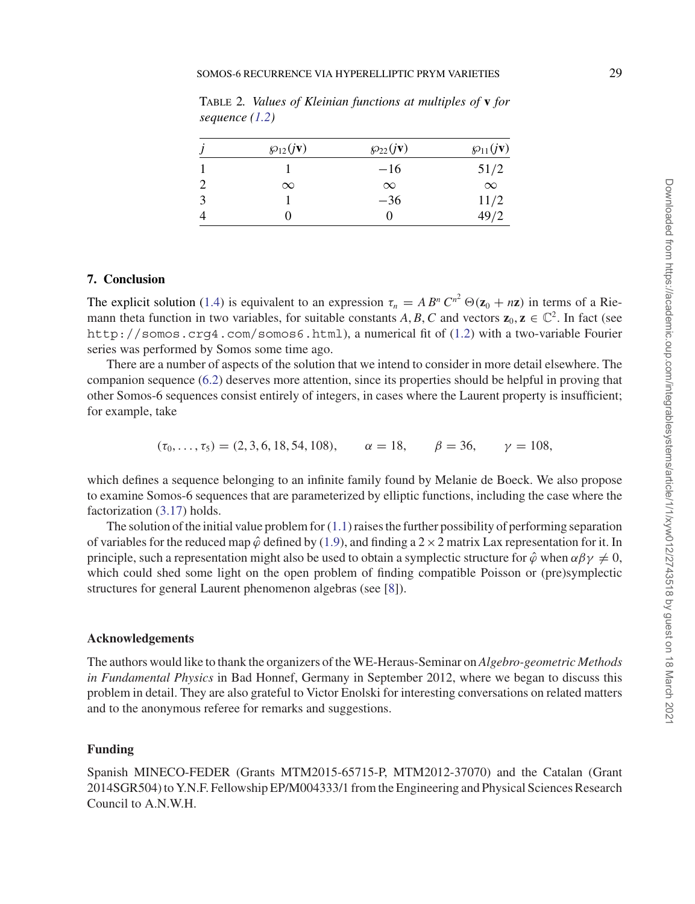|   | $\mathcal{D}_{12}(j\mathbf{v})$ | $\mathcal{D}_{22}(j\mathbf{v})$ | $\wp_{11}(j\mathbf{v})$ |
|---|---------------------------------|---------------------------------|-------------------------|
|   |                                 | $-16$                           | 51/2                    |
|   | $\infty$                        | $\infty$                        | $\infty$                |
| 3 |                                 | $-36$                           | 11/2                    |
|   |                                 | 0                               | 49/2                    |

Table 2*. Values of Kleinian functions at multiples of* **v** *for sequence (1.2)*

#### **7. Conclusion**

The explicit solution (1.4) is equivalent to an expression  $\tau_n = AB^n C^{n^2} \Theta(\mathbf{z}_0 + n\mathbf{z})$  in terms of a Riemann theta function in two variables, for suitable constants *A*, *B*, *C* and vectors  $\mathbf{z}_0$ ,  $\mathbf{z} \in \mathbb{C}^2$ . In fact (see http://somos.crg4.com/somos6.html), a numerical fit of (1.2) with a two-variable Fourier series was performed by Somos some time ago.

There are a number of aspects of the solution that we intend to consider in more detail elsewhere. The companion sequence (6.2) deserves more attention, since its properties should be helpful in proving that other Somos-6 sequences consist entirely of integers, in cases where the Laurent property is insufficient; for example, take

 $(\tau_0, \ldots, \tau_5) = (2, 3, 6, 18, 54, 108), \quad \alpha = 18, \quad \beta = 36, \quad \gamma = 108,$ 

which defines a sequence belonging to an infinite family found by Melanie de Boeck. We also propose to examine Somos-6 sequences that are parameterized by elliptic functions, including the case where the factorization (3.17) holds.

The solution of the initial value problem for  $(1.1)$  raises the further possibility of performing separation of variables for the reduced map  $\hat{\varphi}$  defined by (1.9), and finding a 2  $\times$  2 matrix Lax representation for it. In principle, such a representation might also be used to obtain a symplectic structure for  $\hat{\varphi}$  when  $\alpha \beta \gamma \neq 0$ , which could shed some light on the open problem of finding compatible Poisson or (pre)symplectic structures for general Laurent phenomenon algebras (see [8]).

#### **Acknowledgements**

The authors would like to thank the organizers of the WE-Heraus-Seminar on *Algebro-geometric Methods in Fundamental Physics* in Bad Honnef, Germany in September 2012, where we began to discuss this problem in detail. They are also grateful to Victor Enolski for interesting conversations on related matters and to the anonymous referee for remarks and suggestions.

#### **Funding**

Spanish MINECO-FEDER (Grants MTM2015-65715-P, MTM2012-37070) and the Catalan (Grant 2014SGR504) to Y.N.F. Fellowship EP/M004333/1 from the Engineering and Physical Sciences Research Council to A.N.W.H.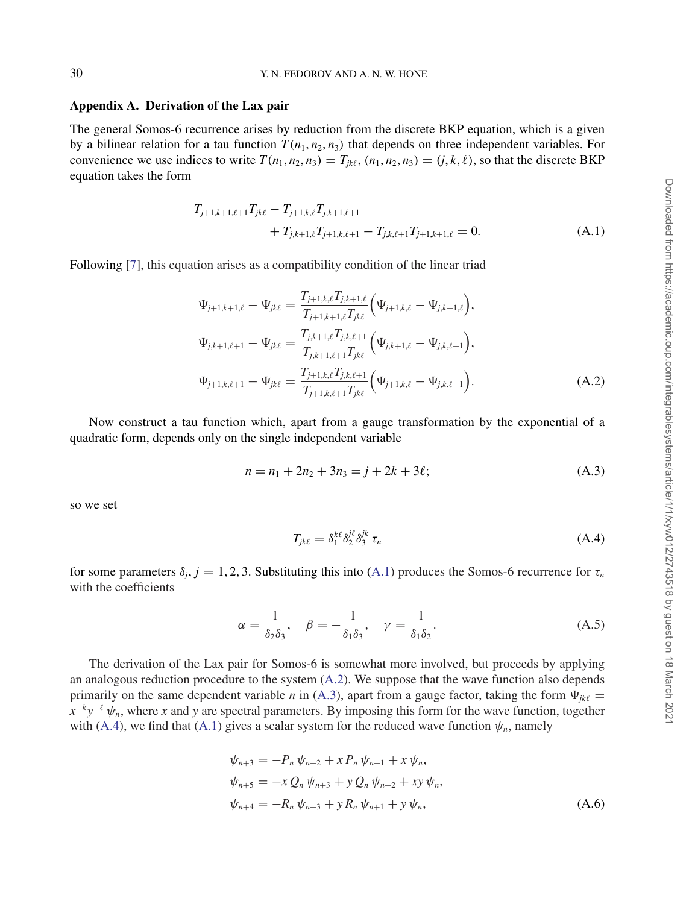#### **Appendix A. Derivation of the Lax pair**

The general Somos-6 recurrence arises by reduction from the discrete BKP equation, which is a given by a bilinear relation for a tau function  $T(n_1, n_2, n_3)$  that depends on three independent variables. For convenience we use indices to write  $T(n_1, n_2, n_3) = T_{ik\ell}$ ,  $(n_1, n_2, n_3) = (j, k, \ell)$ , so that the discrete BKP equation takes the form

$$
T_{j+1,k+1,\ell+1}T_{jk\ell} - T_{j+1,k,\ell}T_{j,k+1,\ell+1}
$$
  
+ 
$$
T_{j,k+1,\ell}T_{j+1,k,\ell+1} - T_{j,k,\ell+1}T_{j+1,k+1,\ell} = 0.
$$
 (A.1)

Following [7], this equation arises as a compatibility condition of the linear triad

$$
\Psi_{j+1,k+1,\ell} - \Psi_{jk\ell} = \frac{T_{j+1,k,\ell} T_{j,k+1,\ell}}{T_{j+1,k+1,\ell} T_{jk\ell}} \Big( \Psi_{j+1,k,\ell} - \Psi_{j,k+1,\ell} \Big),
$$
\n
$$
\Psi_{j,k+1,\ell+1} - \Psi_{jk\ell} = \frac{T_{j,k+1,\ell} T_{j,k,\ell+1}}{T_{j,k+1,\ell+1} T_{jk\ell}} \Big( \Psi_{j,k+1,\ell} - \Psi_{j,k,\ell+1} \Big),
$$
\n
$$
\Psi_{j+1,k,\ell+1} - \Psi_{jk\ell} = \frac{T_{j+1,k,\ell} T_{j,k,\ell+1}}{T_{j+1,k,\ell+1} T_{jk\ell}} \Big( \Psi_{j+1,k,\ell} - \Psi_{j,k,\ell+1} \Big).
$$
\n(A.2)

Now construct a tau function which, apart from a gauge transformation by the exponential of a quadratic form, depends only on the single independent variable

$$
n = n_1 + 2n_2 + 3n_3 = j + 2k + 3\ell;
$$
 (A.3)

so we set

$$
T_{jk\ell} = \delta_1^{k\ell} \delta_2^{j\ell} \delta_3^{jk} \tau_n \tag{A.4}
$$

for some parameters  $\delta_j$ ,  $j = 1, 2, 3$ . Substituting this into (A.1) produces the Somos-6 recurrence for  $\tau_n$ with the coefficients

$$
\alpha = \frac{1}{\delta_2 \delta_3}, \quad \beta = -\frac{1}{\delta_1 \delta_3}, \quad \gamma = \frac{1}{\delta_1 \delta_2}.
$$
 (A.5)

The derivation of the Lax pair for Somos-6 is somewhat more involved, but proceeds by applying an analogous reduction procedure to the system (A.2). We suppose that the wave function also depends primarily on the same dependent variable *n* in (A.3), apart from a gauge factor, taking the form  $\Psi_{jk\ell}$  $x^{-k}y^{-\ell} \psi_n$ , where *x* and *y* are spectral parameters. By imposing this form for the wave function, together with (A.4), we find that (A.1) gives a scalar system for the reduced wave function  $\psi_n$ , namely

$$
\psi_{n+3} = -P_n \psi_{n+2} + x P_n \psi_{n+1} + x \psi_n,
$$
  
\n
$$
\psi_{n+5} = -x Q_n \psi_{n+3} + y Q_n \psi_{n+2} + xy \psi_n,
$$
  
\n
$$
\psi_{n+4} = -R_n \psi_{n+3} + y R_n \psi_{n+1} + y \psi_n,
$$
\n(A.6)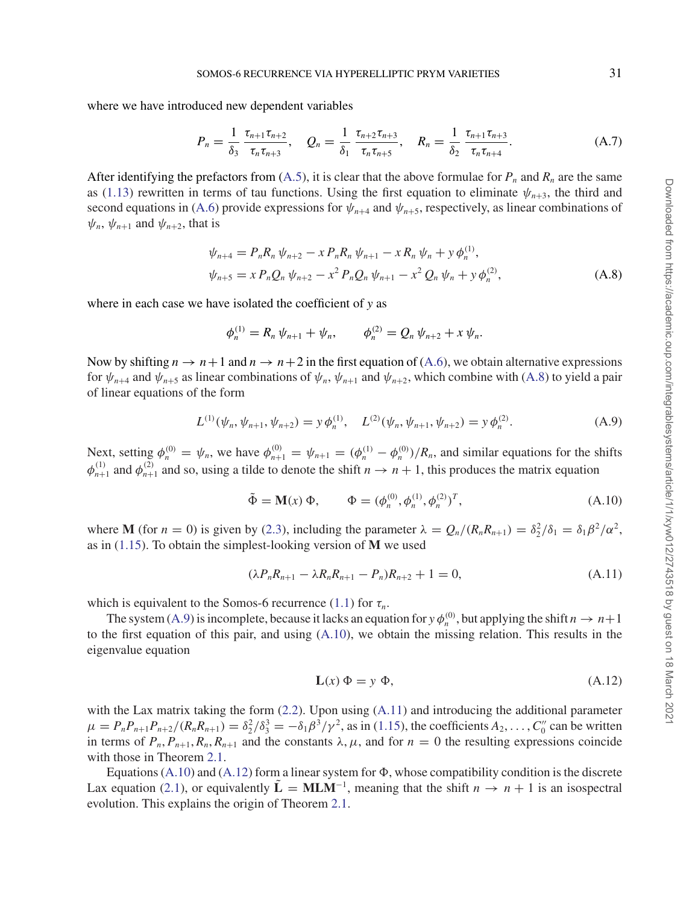where we have introduced new dependent variables

$$
P_n = \frac{1}{\delta_3} \frac{\tau_{n+1} \tau_{n+2}}{\tau_n \tau_{n+3}}, \quad Q_n = \frac{1}{\delta_1} \frac{\tau_{n+2} \tau_{n+3}}{\tau_n \tau_{n+5}}, \quad R_n = \frac{1}{\delta_2} \frac{\tau_{n+1} \tau_{n+3}}{\tau_n \tau_{n+4}}.
$$
(A.7)

After identifying the prefactors from  $(A.5)$ , it is clear that the above formulae for  $P_n$  and  $R_n$  are the same as (1.13) rewritten in terms of tau functions. Using the first equation to eliminate  $\psi_{n+3}$ , the third and second equations in (A.6) provide expressions for  $\psi_{n+4}$  and  $\psi_{n+5}$ , respectively, as linear combinations of  $\psi_n$ ,  $\psi_{n+1}$  and  $\psi_{n+2}$ , that is

$$
\psi_{n+4} = P_n R_n \psi_{n+2} - x P_n R_n \psi_{n+1} - x R_n \psi_n + y \phi_n^{(1)},
$$
  
\n
$$
\psi_{n+5} = x P_n Q_n \psi_{n+2} - x^2 P_n Q_n \psi_{n+1} - x^2 Q_n \psi_n + y \phi_n^{(2)},
$$
\n(A.8)

where in each case we have isolated the coefficient of *y* as

$$
\phi_n^{(1)} = R_n \psi_{n+1} + \psi_n, \qquad \phi_n^{(2)} = Q_n \psi_{n+2} + x \psi_n.
$$

Now by shifting  $n \to n+1$  and  $n \to n+2$  in the first equation of (A.6), we obtain alternative expressions for  $\psi_{n+4}$  and  $\psi_{n+5}$  as linear combinations of  $\psi_n$ ,  $\psi_{n+1}$  and  $\psi_{n+2}$ , which combine with (A.8) to yield a pair of linear equations of the form

$$
L^{(1)}(\psi_n, \psi_{n+1}, \psi_{n+2}) = y \phi_n^{(1)}, \quad L^{(2)}(\psi_n, \psi_{n+1}, \psi_{n+2}) = y \phi_n^{(2)}.
$$
 (A.9)

Next, setting  $\phi_n^{(0)} = \psi_n$ , we have  $\phi_{n+1}^{(0)} = \psi_{n+1} = (\phi_n^{(1)} - \phi_n^{(0)})/R_n$ , and similar equations for the shifts  $\phi_{n+1}^{(1)}$  and  $\phi_{n+1}^{(2)}$  and so, using a tilde to denote the shift  $n \to n+1$ , this produces the matrix equation

$$
\tilde{\Phi} = \mathbf{M}(x) \, \Phi, \qquad \Phi = (\phi_n^{(0)}, \phi_n^{(1)}, \phi_n^{(2)})^T,
$$
\n(A.10)

where **M** (for  $n = 0$ ) is given by (2.3), including the parameter  $\lambda = Q_n/(R_n R_{n+1}) = \delta_2^2/\delta_1 = \delta_1 \beta^2/\alpha^2$ , as in (1.15). To obtain the simplest-looking version of **M** we used

$$
(\lambda P_n R_{n+1} - \lambda R_n R_{n+1} - P_n) R_{n+2} + 1 = 0,
$$
\n(A.11)

which is equivalent to the Somos-6 recurrence (1.1) for  $\tau_n$ .

The system (A.9) is incomplete, because it lacks an equation for *y*  $\phi_n^{(0)}$ , but applying the shift  $n \to n+1$ to the first equation of this pair, and using (A.10), we obtain the missing relation. This results in the eigenvalue equation

$$
\mathbf{L}(x) \Phi = y \Phi, \tag{A.12}
$$

with the Lax matrix taking the form (2.2). Upon using (A.11) and introducing the additional parameter  $\mu = P_n P_{n+1} P_{n+2} / (R_n R_{n+1}) = \delta_2^2 / \delta_3^3 = -\delta_1 \beta^3 / \gamma^2$ , as in (1.15), the coefficients  $A_2, \ldots, C_0''$  can be written in terms of  $P_n$ ,  $P_{n+1}$ ,  $R_n$ ,  $R_{n+1}$  and the constants  $\lambda, \mu$ , and for  $n = 0$  the resulting expressions coincide with those in Theorem 2.1.

Equations (A.10) and (A.12) form a linear system for  $\Phi$ , whose compatibility condition is the discrete Lax equation (2.1), or equivalently  $\mathbf{L} = \mathbf{M} \mathbf{L} \mathbf{M}^{-1}$ , meaning that the shift  $n \to n + 1$  is an isospectral evolution. This explains the origin of Theorem 2.1.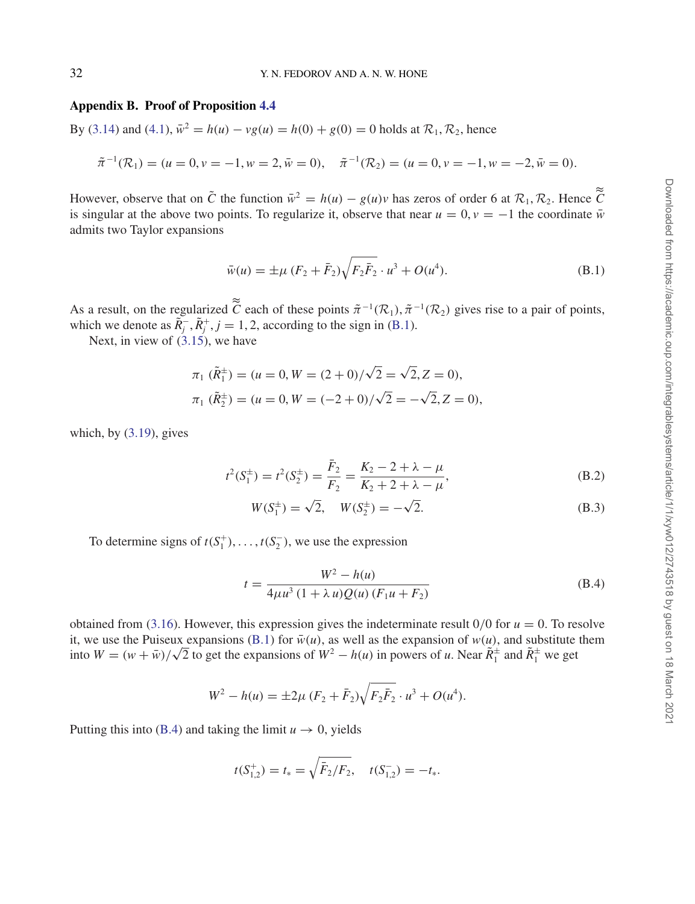#### **Appendix B. Proof of Proposition 4.4**

By (3.14) and (4.1),  $\bar{w}^2 = h(u) - v g(u) = h(0) + g(0) = 0$  holds at  $\mathcal{R}_1, \mathcal{R}_2$ , hence

$$
\tilde{\pi}^{-1}(\mathcal{R}_1) = (u = 0, v = -1, w = 2, \bar{w} = 0), \quad \tilde{\pi}^{-1}(\mathcal{R}_2) = (u = 0, v = -1, w = -2, \bar{w} = 0).
$$

However, observe that on  $\tilde{C}$  the function  $\tilde{w}^2 = h(u) - g(u)v$  has zeros of order 6 at  $\mathcal{R}_1, \mathcal{R}_2$ . Hence  $\tilde{C}$ is singular at the above two points. To regularize it, observe that near  $u = 0$ ,  $v = -1$  the coordinate  $\bar{w}$ admits two Taylor expansions

$$
\bar{w}(u) = \pm \mu (F_2 + \bar{F}_2) \sqrt{F_2 \bar{F}_2} \cdot u^3 + O(u^4).
$$
 (B.1)

As a result, on the regularized  $\tilde{\tilde{C}}$  each of these points  $\tilde{\pi}^{-1}(\mathcal{R}_1)$ ,  $\tilde{\pi}^{-1}(\mathcal{R}_2)$  gives rise to a pair of points, which we denote as  $\tilde{R}_j^-, \tilde{R}_j^+, j = 1, 2$ , according to the sign in (B.1).

Next, in view of  $(3.15)$ , we have

$$
\pi_1(\tilde{R}_1^{\pm}) = (u = 0, W = (2+0)/\sqrt{2} = \sqrt{2}, Z = 0),
$$
  

$$
\pi_1(\tilde{R}_2^{\pm}) = (u = 0, W = (-2+0)/\sqrt{2} = -\sqrt{2}, Z = 0),
$$

which, by  $(3.19)$ , gives

$$
t^{2}(S_{1}^{\pm}) = t^{2}(S_{2}^{\pm}) = \frac{\bar{F}_{2}}{F_{2}} = \frac{K_{2} - 2 + \lambda - \mu}{K_{2} + 2 + \lambda - \mu},
$$
(B.2)

$$
W(S_1^{\pm}) = \sqrt{2}, \quad W(S_2^{\pm}) = -\sqrt{2}.
$$
 (B.3)

To determine signs of  $t(S_1^+), \ldots, t(S_2^-)$ , we use the expression

$$
t = \frac{W^2 - h(u)}{4\mu u^3 (1 + \lambda u) Q(u) (F_1 u + F_2)}
$$
(B.4)

obtained from (3.16). However, this expression gives the indeterminate result  $0/0$  for  $u = 0$ . To resolve it, we use the Puiseux expansions (B.1) for  $\bar{w}(u)$ , as well as the expansion of  $w(u)$ , and substitute them<br>into  $W = (w + \bar{w})/\sqrt{2}$  to get the expansions of  $W^2 - h(u)$  in powers of u. Near  $\tilde{R}_1^{\pm}$  and  $\tilde{R}_1^{\pm}$ 

 $W^2 - h(u) = \pm 2\mu (F_2 + \bar{F}_2) \sqrt{F_2 \bar{F}_2} \cdot u^3 + O(u^4).$ 

Putting this into (B.4) and taking the limit  $u \to 0$ , yields

$$
t(S_{1,2}^+) = t_* = \sqrt{\bar{F}_2/F_2}, \quad t(S_{1,2}^-) = -t_*.
$$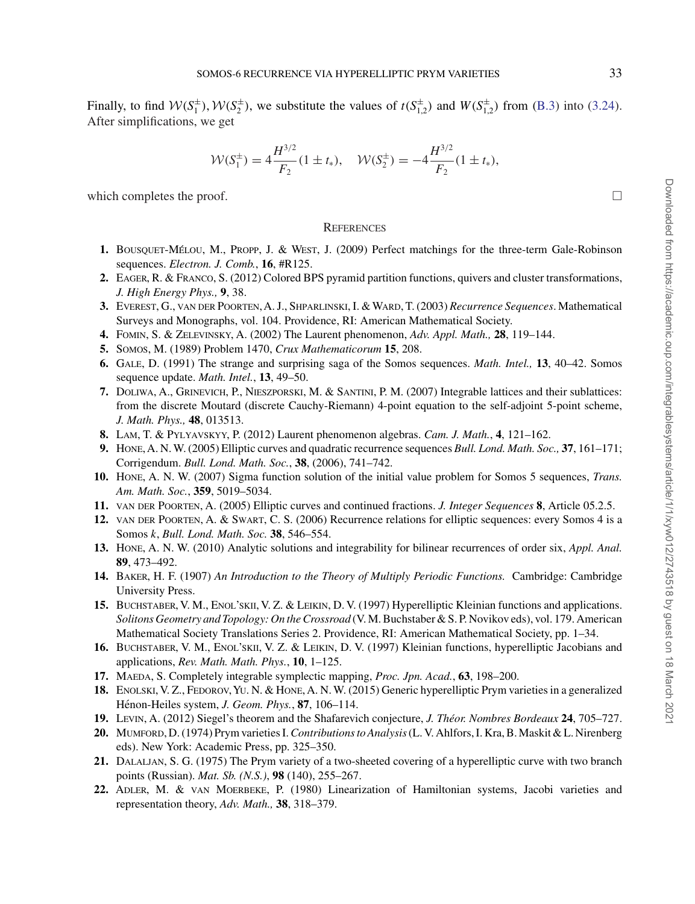Finally, to find  $W(S_1^{\pm})$ ,  $W(S_2^{\pm})$ , we substitute the values of  $t(S_{1,2}^{\pm})$  and  $W(S_{1,2}^{\pm})$  from (B.3) into (3.24). After simplifications, we get

$$
\mathcal{W}(S_1^{\pm}) = 4 \frac{H^{3/2}}{F_2} (1 \pm t_*), \quad \mathcal{W}(S_2^{\pm}) = -4 \frac{H^{3/2}}{F_2} (1 \pm t_*),
$$

which completes the proof.  $\Box$ 

#### **REFERENCES**

- 1. BOUSQUET-MÉLOU, M., PROPP, J. & WEST, J. (2009) Perfect matchings for the three-term Gale-Robinson sequences. *Electron. J. Comb.*, **16**, #R125.
- **2.** Eager, R. & Franco, S. (2012) Colored BPS pyramid partition functions, quivers and cluster transformations, *J. High Energy Phys.,* **9**, 38.
- **3.** Everest, G., van der Poorten,A. J., Shparlinski, I. &Ward, T. (2003) *Recurrence Sequences*. Mathematical Surveys and Monographs, vol. 104. Providence, RI: American Mathematical Society.
- **4.** Fomin, S. & Zelevinsky, A. (2002) The Laurent phenomenon, *Adv. Appl. Math.,* **28**, 119–144.
- **5.** Somos, M. (1989) Problem 1470, *Crux Mathematicorum* **15**, 208.
- **6.** Gale, D. (1991) The strange and surprising saga of the Somos sequences. *Math. Intel.,* **13**, 40–42. Somos sequence update. *Math. Intel.*, **13**, 49–50.
- **7.** Doliwa, A., Grinevich, P., Nieszporski, M. & Santini, P. M. (2007) Integrable lattices and their sublattices: from the discrete Moutard (discrete Cauchy-Riemann) 4-point equation to the self-adjoint 5-point scheme, *J. Math. Phys.,* **48**, 013513.
- **8.** Lam, T. & Pylyavskyy, P. (2012) Laurent phenomenon algebras. *Cam. J. Math.*, **4**, 121–162.
- **9.** Hone, A. N.W. (2005) Elliptic curves and quadratic recurrence sequences *Bull. Lond. Math. Soc.,* **37**, 161–171; Corrigendum. *Bull. Lond. Math. Soc.*, **38**, (2006), 741–742.
- **10.** Hone, A. N. W. (2007) Sigma function solution of the initial value problem for Somos 5 sequences, *Trans. Am. Math. Soc.*, **359**, 5019–5034.
- **11.** van der Poorten, A. (2005) Elliptic curves and continued fractions. *J. Integer Sequences* **8**, Article 05.2.5.
- **12.** van der Poorten, A. & Swart, C. S. (2006) Recurrence relations for elliptic sequences: every Somos 4 is a Somos *k*, *Bull. Lond. Math. Soc.* **38**, 546–554.
- **13.** Hone, A. N. W. (2010) Analytic solutions and integrability for bilinear recurrences of order six, *Appl. Anal.* **89**, 473–492.
- **14.** Baker, H. F. (1907) *An Introduction to the Theory of Multiply Periodic Functions.* Cambridge: Cambridge University Press.
- **15.** Buchstaber, V. M., Enol'skii, V. Z. & Leikin, D. V. (1997) Hyperelliptic Kleinian functions and applications. *Solitons Geometry and Topology: On the Crossroad* (V. M. Buchstaber & S. P. Novikov eds), vol. 179. American Mathematical Society Translations Series 2. Providence, RI: American Mathematical Society, pp. 1–34.
- **16.** Buchstaber, V. M., Enol'skii, V. Z. & Leikin, D. V. (1997) Kleinian functions, hyperelliptic Jacobians and applications, *Rev. Math. Math. Phys.*, **10**, 1–125.
- **17.** Maeda, S. Completely integrable symplectic mapping, *Proc. Jpn. Acad.*, **63**, 198–200.
- **18.** Enolski, V. Z., Fedorov,Yu. N. & Hone, A. N.W. (2015) Generic hyperelliptic Prym varieties in a generalized Hénon-Heiles system, *J. Geom. Phys.*, 87, 106-114.
- **19.** Levin, A. (2012) Siegel's theorem and the Shafarevich conjecture, *J. Theor. Nombres Bordeaux ´* **24**, 705–727.
- **20.** Mumford, D.(1974) Prym varieties I.*Contributions to Analysis*(L. V. Ahlfors, I. Kra, B.Maskit & L. Nirenberg eds). New York: Academic Press, pp. 325–350.
- **21.** Dalaljan, S. G. (1975) The Prym variety of a two-sheeted covering of a hyperelliptic curve with two branch points (Russian). *Mat. Sb. (N.S.)*, **98** (140), 255–267.
- **22.** Adler, M. & van Moerbeke, P. (1980) Linearization of Hamiltonian systems, Jacobi varieties and representation theory, *Adv. Math.,* **38**, 318–379.